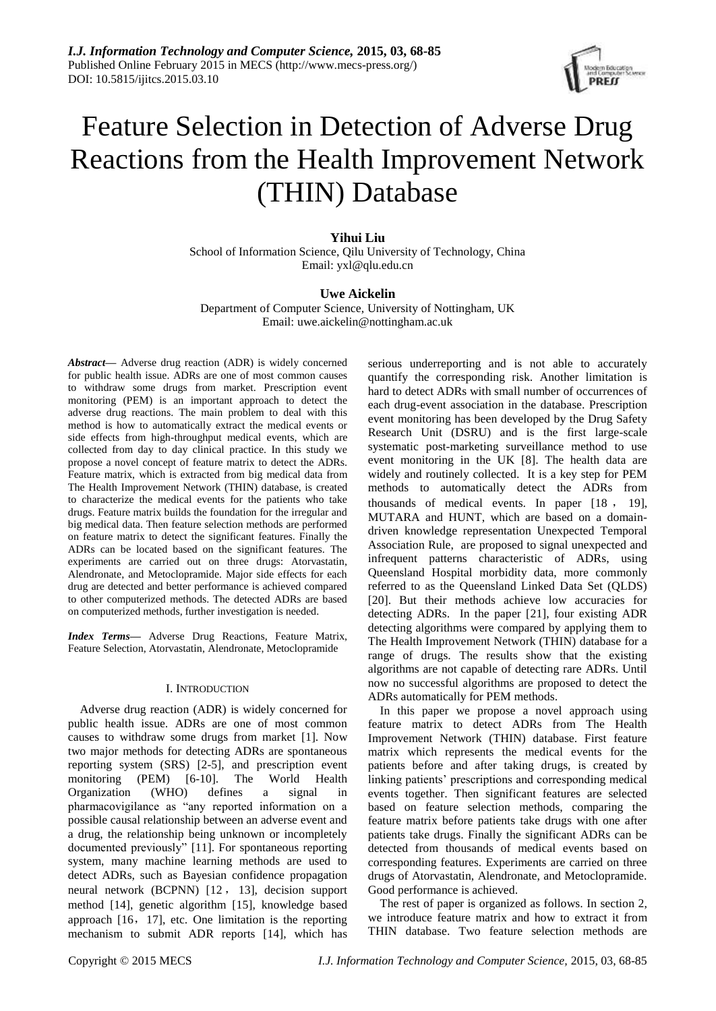

# **Yihui Liu**

School of Information Science, Qilu University of Technology, China Email: yxl@qlu.edu.cn

#### **Uwe Aickelin**

Department of Computer Science, University of Nottingham, UK Email: [uwe.aickelin@nottingham.ac.uk](mailto:uwe.aickelin@nottingham.ac.uk)

*Abstract***—** Adverse drug reaction (ADR) is widely concerned for public health issue. ADRs are one of most common causes to withdraw some drugs from market. Prescription event monitoring (PEM) is an important approach to detect the adverse drug reactions. The main problem to deal with this method is how to automatically extract the medical events or side effects from high-throughput medical events, which are collected from day to day clinical practice. In this study we propose a novel concept of feature matrix to detect the ADRs. Feature matrix, which is extracted from big medical data from The Health Improvement Network (THIN) database, is created to characterize the medical events for the patients who take drugs. Feature matrix builds the foundation for the irregular and big medical data. Then feature selection methods are performed on feature matrix to detect the significant features. Finally the ADRs can be located based on the significant features. The experiments are carried out on three drugs: Atorvastatin, Alendronate, and Metoclopramide. Major side effects for each drug are detected and better performance is achieved compared to other computerized methods. The detected ADRs are based on computerized methods, further investigation is needed.

*Index Terms***—** Adverse Drug Reactions, Feature Matrix, Feature Selection, Atorvastatin, Alendronate, Metoclopramide

#### I. INTRODUCTION

Adverse drug reaction (ADR) is widely concerned for public health issue. ADRs are one of most common causes to withdraw some drugs from market [1]. Now two major methods for detecting ADRs are spontaneous reporting system (SRS) [2-5], and prescription event monitoring (PEM) [6-10]. The World Health Organization (WHO) defines a signal in pharmacovigilance as "any reported information on a possible causal relationship between an adverse event and a drug, the relationship being unknown or incompletely documented previously" [11]. For spontaneous reporting system, many machine learning methods are used to detect ADRs, such as Bayesian confidence propagation neural network (BCPNN) [12 , 13], decision support method [14], genetic algorithm [15], knowledge based approach [16,17], etc. One limitation is the reporting mechanism to submit ADR reports [14], which has

serious underreporting and is not able to accurately quantify the corresponding risk. Another limitation is hard to detect ADRs with small number of occurrences of each drug-event association in the database. Prescription event monitoring has been developed by the Drug Safety Research Unit (DSRU) and is the first large-scale systematic post-marketing surveillance method to use event monitoring in the UK [8]. The health data are widely and routinely collected. It is a key step for PEM methods to automatically detect the ADRs from thousands of medical events. In paper [18 , 19], MUTARA and HUNT, which are based on a domaindriven knowledge representation Unexpected Temporal Association Rule, are proposed to signal unexpected and infrequent patterns characteristic of ADRs, using Queensland Hospital morbidity data, more commonly referred to as the Queensland Linked Data Set (QLDS) [20]. But their methods achieve low accuracies for detecting ADRs. In the paper [21], four existing ADR detecting algorithms were compared by applying them to The Health Improvement Network (THIN) database for a range of drugs. The results show that the existing algorithms are not capable of detecting rare ADRs. Until now no successful algorithms are proposed to detect the ADRs automatically for PEM methods.

In this paper we propose a novel approach using feature matrix to detect ADRs from The Health Improvement Network (THIN) database. First feature matrix which represents the medical events for the patients before and after taking drugs, is created by linking patients' prescriptions and corresponding medical events together. Then significant features are selected based on feature selection methods, comparing the feature matrix before patients take drugs with one after patients take drugs. Finally the significant ADRs can be detected from thousands of medical events based on corresponding features. Experiments are carried on three drugs of Atorvastatin, Alendronate, and Metoclopramide. Good performance is achieved.

The rest of paper is organized as follows. In section 2, we introduce feature matrix and how to extract it from THIN database. Two feature selection methods are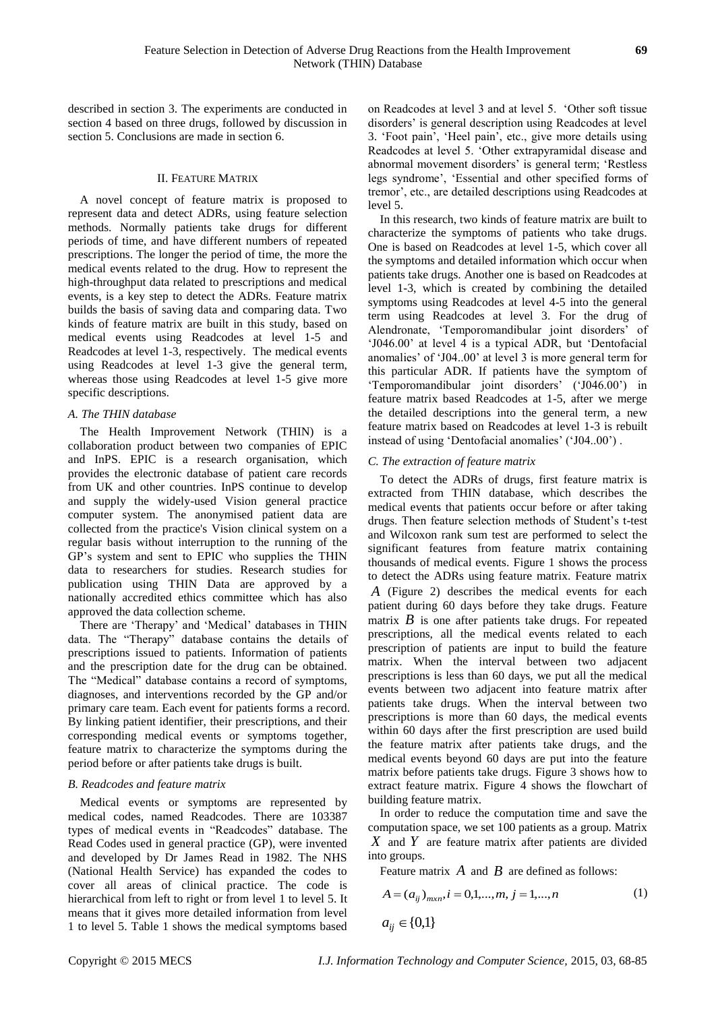described in section 3. The experiments are conducted in section 4 based on three drugs, followed by discussion in section 5. Conclusions are made in section 6.

#### II. FEATURE MATRIX

A novel concept of feature matrix is proposed to represent data and detect ADRs, using feature selection methods. Normally patients take drugs for different periods of time, and have different numbers of repeated prescriptions. The longer the period of time, the more the medical events related to the drug. How to represent the high-throughput data related to prescriptions and medical events, is a key step to detect the ADRs. Feature matrix builds the basis of saving data and comparing data. Two kinds of feature matrix are built in this study, based on medical events using Readcodes at level 1-5 and Readcodes at level 1-3, respectively. The medical events using Readcodes at level 1-3 give the general term, whereas those using Readcodes at level 1-5 give more specific descriptions.

#### *A. The THIN database*

The Health Improvement Network (THIN) is a collaboration product between two companies of EPIC and InPS. EPIC is a research organisation, which provides the electronic database of patient care records from UK and other countries. InPS continue to develop and supply the widely-used Vision general practice computer system. The anonymised patient data are collected from the practice's Vision clinical system on a regular basis without interruption to the running of the GP's system and sent to EPIC who supplies the THIN data to researchers for studies. Research studies for publication using THIN Data are approved by a nationally accredited ethics committee which has also approved the data collection scheme.

There are 'Therapy' and 'Medical' databases in THIN data. The "Therapy" database contains the details of prescriptions issued to patients. Information of patients and the prescription date for the drug can be obtained. The "Medical" database contains a record of symptoms, diagnoses, and interventions recorded by the GP and/or primary care team. Each event for patients forms a record. By linking patient identifier, their prescriptions, and their corresponding medical events or symptoms together, feature matrix to characterize the symptoms during the period before or after patients take drugs is built.

#### *B. Readcodes and feature matrix*

Medical events or symptoms are represented by medical codes, named Readcodes. There are 103387 types of medical events in "Readcodes" database. The Read Codes used in general practice (GP), were invented and developed by Dr James Read in 1982. The NHS (National Health Service) has expanded the codes to cover all areas of clinical practice. The code is hierarchical from left to right or from level 1 to level 5. It means that it gives more detailed information from level 1 to level 5. Table 1 shows the medical symptoms based on Readcodes at level 3 and at level 5. 'Other soft tissue disorders' is general description using Readcodes at level 3. 'Foot pain', 'Heel pain', etc., give more details using Readcodes at level 5. 'Other extrapyramidal disease and abnormal movement disorders' is general term; 'Restless legs syndrome', 'Essential and other specified forms of tremor', etc., are detailed descriptions using Readcodes at level 5.

In this research, two kinds of feature matrix are built to characterize the symptoms of patients who take drugs. One is based on Readcodes at level 1-5, which cover all the symptoms and detailed information which occur when patients take drugs. Another one is based on Readcodes at level 1-3, which is created by combining the detailed symptoms using Readcodes at level 4-5 into the general term using Readcodes at level 3. For the drug of Alendronate, 'Temporomandibular joint disorders' of 'J046.00' at level 4 is a typical ADR, but 'Dentofacial anomalies' of 'J04..00' at level 3 is more general term for this particular ADR. If patients have the symptom of 'Temporomandibular joint disorders' ('J046.00') in feature matrix based Readcodes at 1-5, after we merge the detailed descriptions into the general term, a new feature matrix based on Readcodes at level 1-3 is rebuilt instead of using 'Dentofacial anomalies' ('J04..00') .

#### *C. The extraction of feature matrix*

To detect the ADRs of drugs, first feature matrix is extracted from THIN database, which describes the medical events that patients occur before or after taking drugs. Then feature selection methods of Student's t-test and Wilcoxon rank sum test are performed to select the significant features from feature matrix containing thousands of medical events. Figure 1 shows the process to detect the ADRs using feature matrix. Feature matrix *A* (Figure 2) describes the medical events for each patient during 60 days before they take drugs. Feature matrix  $B$  is one after patients take drugs. For repeated prescriptions, all the medical events related to each prescription of patients are input to build the feature matrix. When the interval between two adjacent prescriptions is less than 60 days, we put all the medical events between two adjacent into feature matrix after patients take drugs. When the interval between two prescriptions is more than 60 days, the medical events within 60 days after the first prescription are used build the feature matrix after patients take drugs, and the medical events beyond 60 days are put into the feature matrix before patients take drugs. Figure 3 shows how to extract feature matrix. Figure 4 shows the flowchart of building feature matrix.

In order to reduce the computation time and save the computation space, we set 100 patients as a group. Matrix *X* and *Y* are feature matrix after patients are divided into groups.

Feature matrix  $\vec{A}$  and  $\vec{B}$  are defined as follows:

$$
A = (a_{ij})_{m \times n}, i = 0, 1, ..., m, j = 1, ..., n
$$
  
\n
$$
a_{ij} \in \{0, 1\}
$$
 (1)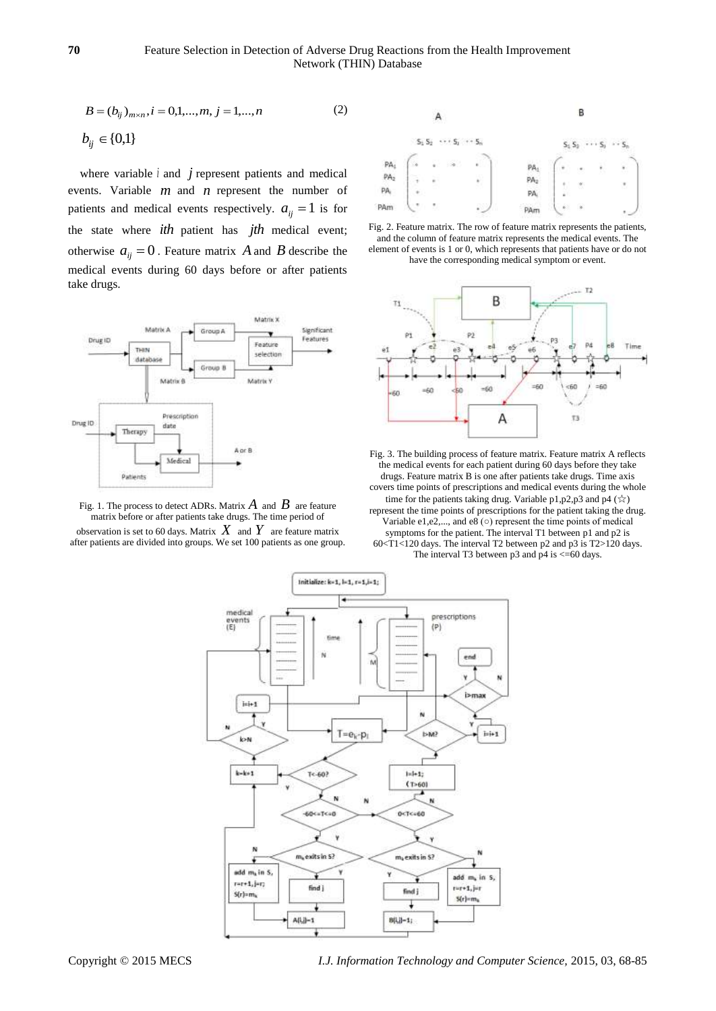$$
B = (b_{ij})_{m \times n}, i = 0, 1, ..., m, j = 1, ..., n
$$
  
\n
$$
b_{ij} \in \{0, 1\}
$$
\n(2)

where variable  $i$  and  $j$  represent patients and medical events. Variable *m* and *n* represent the number of patients and medical events respectively.  $a_{ij} = 1$  is for the state where *ith* patient has *jth* medical event; otherwise  $a_{ij} = 0$ . Feature matrix A and B describe the medical events during 60 days before or after patients take drugs.



Fig. 1. The process to detect ADRs. Matrix  $A$  and  $B$  are feature matrix before or after patients take drugs. The time period of observation is set to 60 days. Matrix  $X$  and  $Y$  are feature matrix after patients are divided into groups. We set 100 patients as one group.







Fig. 3. The building process of feature matrix. Feature matrix A reflects the medical events for each patient during 60 days before they take drugs. Feature matrix B is one after patients take drugs. Time axis covers time points of prescriptions and medical events during the whole time for the patients taking drug. Variable p1,p2,p3 and p4  $(\star)$ represent the time points of prescriptions for the patient taking the drug. Variable e1,e2,..., and e8 ( $\circ$ ) represent the time points of medical symptoms for the patient. The interval T1 between p1 and p2 is 60<T1<120 days. The interval T2 between p2 and p3 is T2>120 days. The interval T3 between  $p3$  and  $p4$  is  $\leq 60$  days.

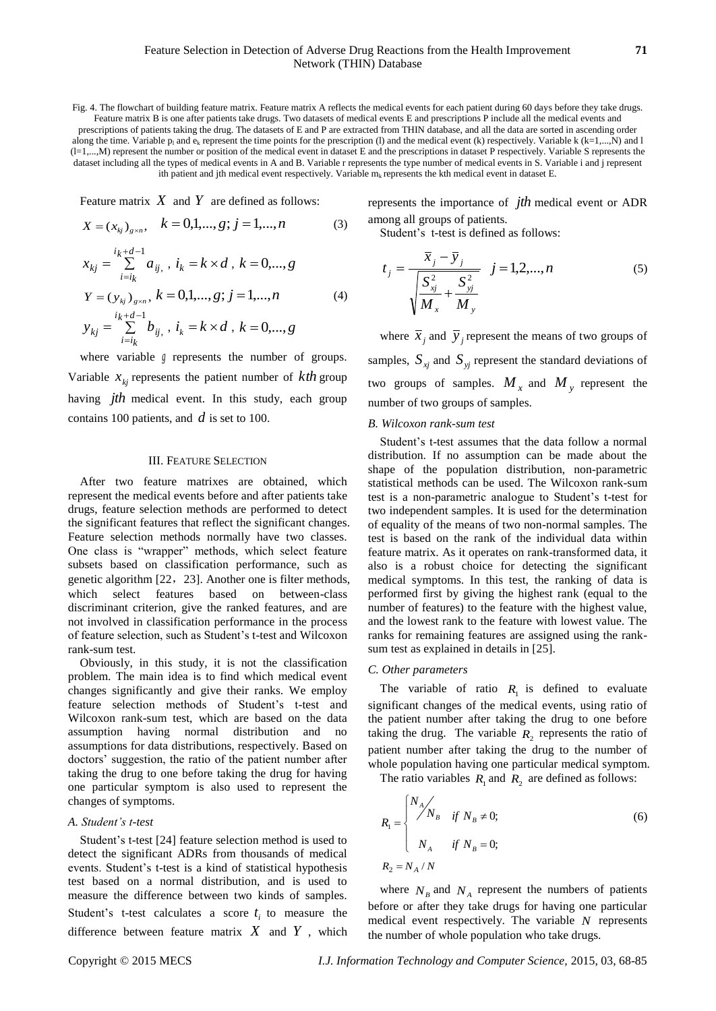Fig. 4. The flowchart of building feature matrix. Feature matrix A reflects the medical events for each patient during 60 days before they take drugs. Feature matrix B is one after patients take drugs. Two datasets of medical events E and prescriptions P include all the medical events and prescriptions of patients taking the drug. The datasets of E and P are extracted from THIN database, and all the data are sorted in ascending order along the time. Variable  $p_1$  and  $e_k$  represent the time points for the prescription (l) and the medical event (k) respectively. Variable k (k=1,...,N) and l (l=1,...,M) represent the number or position of the medical event in dataset E and the prescriptions in dataset P respectively. Variable S represents the dataset including all the types of medical events in A and B. Variable r represents the type number of medical events in S. Variable i and j represent ith patient and jth medical event respectively. Variable  $m_k$  represents the kth medical event in dataset E.

Feature matrix  $X$  and  $Y$  are defined as follows:

$$
X = (x_{kj})_{g \times n}, \quad k = 0, 1, \dots, g; j = 1, \dots, n
$$
 (3)

$$
x_{kj} = \sum_{i=i_k}^{i_k+d-1} a_{ij}, \quad i_k = k \times d, \quad k = 0, \dots, g
$$
  

$$
Y = (y_{kj})_{g \times n}, \quad k = 0, 1, \dots, g; \quad j = 1, \dots, n
$$
 (4)

$$
y_{kj} = \sum_{i=k}^{k} b_{ij}, i_k = k \times d, k = 0,...,g
$$

where variable *g* represents the number of groups. Variable  $x_{kj}$  represents the patient number of  $kth$  group having *jth* medical event. In this study, each group contains 100 patients, and *d* is set to 100.

#### III. FEATURE SELECTION

After two feature matrixes are obtained, which represent the medical events before and after patients take drugs, feature selection methods are performed to detect the significant features that reflect the significant changes. Feature selection methods normally have two classes. One class is "wrapper" methods, which select feature subsets based on classification performance, such as genetic algorithm [22,23]. Another one is filter methods, which select features based on between-class discriminant criterion, give the ranked features, and are not involved in classification performance in the process of feature selection, such as Student's t-test and Wilcoxon rank-sum test.

Obviously, in this study, it is not the classification problem. The main idea is to find which medical event changes significantly and give their ranks. We employ feature selection methods of Student's t-test and Wilcoxon rank-sum test, which are based on the data assumption having normal distribution and no assumptions for data distributions, respectively. Based on doctors' suggestion, the ratio of the patient number after taking the drug to one before taking the drug for having one particular symptom is also used to represent the changes of symptoms.

#### *A. Student's t-test*

Student's t-test [24] feature selection method is used to detect the significant ADRs from thousands of medical events. Student's t-test is a kind of statistical hypothesis test based on a normal distribution, and is used to measure the difference between two kinds of samples. Student's t-test calculates a score  $t_i$  to measure the difference between feature matrix  $X$  and  $Y$ , which

represents the importance of *jth* medical event or ADR among all groups of patients.

Student's t-test is defined as follows:

$$
t_{j} = \frac{\overline{x}_{j} - \overline{y}_{j}}{\sqrt{\frac{S_{xj}^{2}}{M_{x}} + \frac{S_{yj}^{2}}{M_{y}}}} \quad j = 1, 2, ..., n
$$
 (5)

where  $\bar{x}_j$  and  $\bar{y}_j$  represent the means of two groups of samples,  $S_{xj}$  and  $S_{yj}$  represent the standard deviations of two groups of samples.  $M_{x}$  and  $M_{y}$  represent the number of two groups of samples.

#### *B. Wilcoxon rank-sum test*

Student's t-test assumes that the data follow a normal distribution. If no assumption can be made about the shape of the population distribution, non-parametric statistical methods can be used. The Wilcoxon rank-sum test is a non-parametric analogue to Student's t-test for two independent samples. It is used for the determination of equality of the means of two non-normal samples. The test is based on the rank of the individual data within feature matrix. As it operates on rank-transformed data, it also is a robust choice for detecting the significant medical symptoms. In this test, the ranking of data is performed first by giving the highest rank (equal to the number of features) to the feature with the highest value, and the lowest rank to the feature with lowest value. The ranks for remaining features are assigned using the ranksum test as explained in details in [25].

#### *C. Other parameters*

The variable of ratio  $R_1$  is defined to evaluate significant changes of the medical events, using ratio of the patient number after taking the drug to one before taking the drug. The variable  $R_2$  represents the ratio of patient number after taking the drug to the number of whole population having one particular medical symptom.

The ratio variables  $R_1$  and  $R_2$  are defined as follows:

$$
R_1 = \begin{cases} N_A / N_B & \text{if } N_B \neq 0; \\ N_A & \text{if } N_B = 0; \end{cases}
$$
 (6)  

$$
R_2 = N_A / N
$$

where  $N_B$  and  $N_A$  represent the numbers of patients before or after they take drugs for having one particular medical event respectively. The variable *N* represents the number of whole population who take drugs.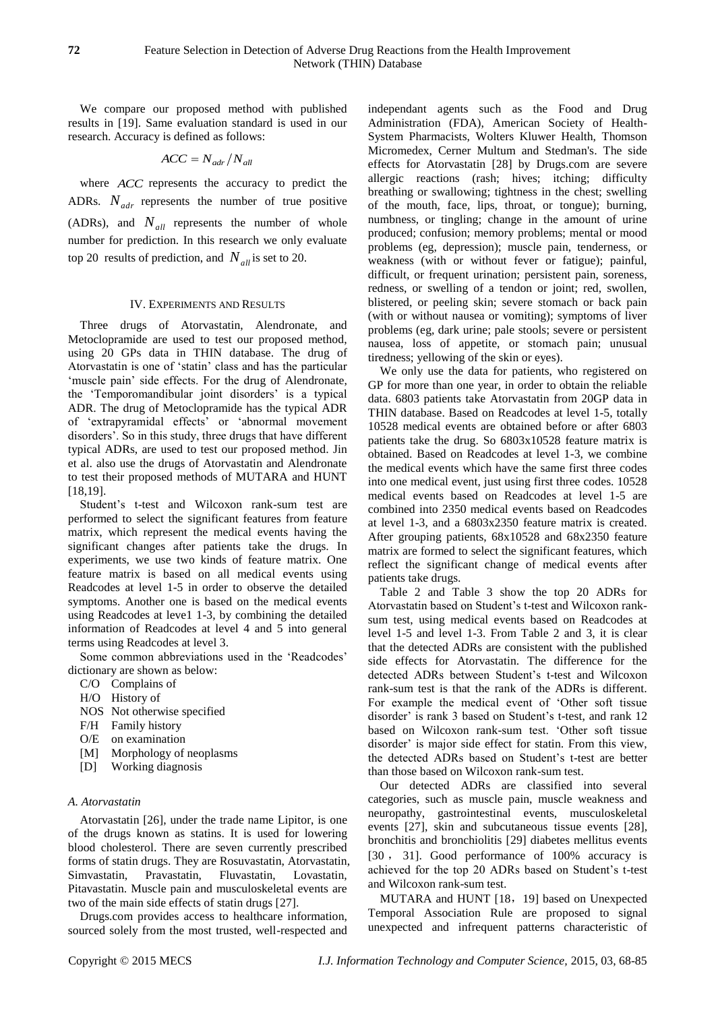We compare our proposed method with published results in [19]. Same evaluation standard is used in our research. Accuracy is defined as follows:

$$
ACC = N_{adr}/N_{all}
$$

where *ACC* represents the accuracy to predict the ADRs.  $N_{adr}$  represents the number of true positive (ADRs), and  $N_{all}$  represents the number of whole number for prediction. In this research we only evaluate top 20 results of prediction, and  $N_{all}$  is set to 20.

#### IV. EXPERIMENTS AND RESULTS

Three drugs of Atorvastatin, Alendronate, and Metoclopramide are used to test our proposed method, using 20 GPs data in THIN database. The drug of Atorvastatin is one of 'statin' class and has the particular 'muscle pain' side effects. For the drug of Alendronate, the 'Temporomandibular joint disorders' is a typical ADR. The drug of Metoclopramide has the typical ADR of 'extrapyramidal effects' or 'abnormal movement disorders'. So in this study, three drugs that have different typical ADRs, are used to test our proposed method. Jin et al. also use the drugs of Atorvastatin and Alendronate to test their proposed methods of MUTARA and HUNT [18,19].

Student's t-test and Wilcoxon rank-sum test are performed to select the significant features from feature matrix, which represent the medical events having the significant changes after patients take the drugs. In experiments, we use two kinds of feature matrix. One feature matrix is based on all medical events using Readcodes at level 1-5 in order to observe the detailed symptoms. Another one is based on the medical events using Readcodes at leve1 1-3, by combining the detailed information of Readcodes at level 4 and 5 into general terms using Readcodes at level 3.

Some common abbreviations used in the 'Readcodes' dictionary are shown as below:

- C/O Complains of
- H/O History of
- NOS Not otherwise specified
- F/H Family history
- O/E on examination
- [M] Morphology of neoplasms
- [D] Working diagnosis

## *A. Atorvastatin*

Atorvastatin [26], under the trade name Lipitor, is one of the drugs known as [statins.](http://en.wikipedia.org/wiki/Statin) It is used for lowering blood [cholesterol.](http://en.wikipedia.org/wiki/Cholesterol) There are seven currently prescribed forms of statin drugs. They are Rosuvastatin, Atorvastatin, Simvastatin, Pravastatin, Fluvastatin, Lovastatin, Pitavastatin. Muscle pain and musculoskeletal events are two of the main side effects of statin drugs [27].

Drugs.com provides access to healthcare information, sourced solely from the most trusted, well-respected and independant agents such as the Food and Drug Administration (FDA), American Society of Health-System Pharmacists, Wolters Kluwer Health, Thomson Micromedex, Cerner Multum and Stedman's. The side effects for Atorvastatin [28] by Drugs.com are severe allergic reactions (rash; hives; itching; difficulty breathing or swallowing; tightness in the chest; swelling of the mouth, face, lips, throat, or tongue); burning, numbness, or tingling; change in the amount of urine produced; confusion; memory problems; mental or mood problems (eg, depression); muscle pain, tenderness, or weakness (with or without fever or fatigue); painful, difficult, or frequent urination; persistent pain, soreness, redness, or swelling of a tendon or joint; red, swollen, blistered, or peeling skin; severe stomach or back pain (with or without nausea or vomiting); symptoms of liver problems (eg, dark urine; pale stools; severe or persistent nausea, loss of appetite, or stomach pain; unusual tiredness; yellowing of the skin or eyes).

We only use the data for patients, who registered on GP for more than one year, in order to obtain the reliable data. 6803 patients take Atorvastatin from 20GP data in THIN database. Based on Readcodes at level 1-5, totally 10528 medical events are obtained before or after 6803 patients take the drug. So 6803x10528 feature matrix is obtained. Based on Readcodes at level 1-3, we combine the medical events which have the same first three codes into one medical event, just using first three codes. 10528 medical events based on Readcodes at level 1-5 are combined into 2350 medical events based on Readcodes at level 1-3, and a 6803x2350 feature matrix is created. After grouping patients, 68x10528 and 68x2350 feature matrix are formed to select the significant features, which reflect the significant change of medical events after patients take drugs.

Table 2 and Table 3 show the top 20 ADRs for Atorvastatin based on Student's t-test and Wilcoxon ranksum test, using medical events based on Readcodes at level 1-5 and level 1-3. From Table 2 and 3, it is clear that the detected ADRs are consistent with the published side effects for Atorvastatin. The difference for the detected ADRs between Student's t-test and Wilcoxon rank-sum test is that the rank of the ADRs is different. For example the medical event of 'Other soft tissue disorder' is rank 3 based on Student's t-test, and rank 12 based on Wilcoxon rank-sum test. 'Other soft tissue disorder' is major side effect for statin. From this view, the detected ADRs based on Student's t-test are better than those based on Wilcoxon rank-sum test.

Our detected ADRs are classified into several categories, such as muscle pain, muscle weakness and neuropathy, gastrointestinal events, musculoskeletal events [27], skin and subcutaneous tissue events [28], bronchitis and bronchiolitis [29] diabetes mellitus events [30 , 31]. Good performance of 100% accuracy is achieved for the top 20 ADRs based on Student's t-test and Wilcoxon rank-sum test.

MUTARA and HUNT [18,19] based on Unexpected Temporal Association Rule are proposed to signal unexpected and infrequent patterns characteristic of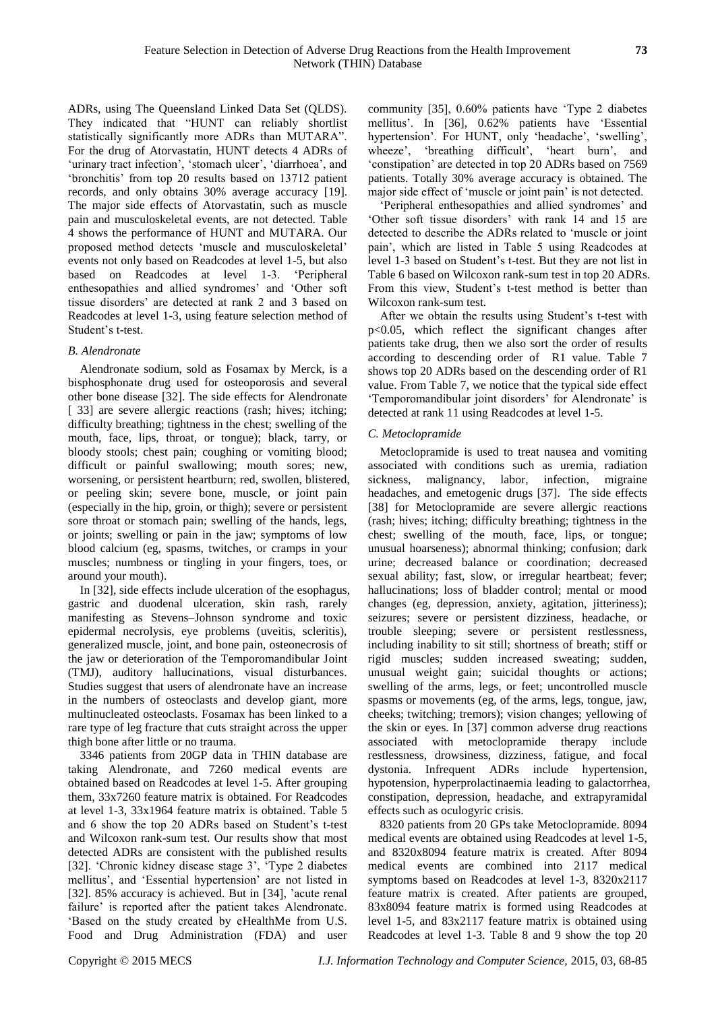ADRs, using The Queensland Linked Data Set (QLDS). They indicated that "HUNT can reliably shortlist statistically significantly more ADRs than MUTARA". For the drug of Atorvastatin, HUNT detects 4 ADRs of 'urinary tract infection', 'stomach ulcer', 'diarrhoea', and 'bronchitis' from top 20 results based on 13712 patient records, and only obtains 30% average accuracy [19]. The major side effects of Atorvastatin, such as muscle pain and musculoskeletal events, are not detected. Table 4 shows the performance of HUNT and MUTARA. Our proposed method detects 'muscle and musculoskeletal' events not only based on Readcodes at level 1-5, but also based on Readcodes at level 1-3. 'Peripheral enthesopathies and allied syndromes' and 'Other soft tissue disorders' are detected at rank 2 and 3 based on Readcodes at level 1-3, using feature selection method of Student's t-test.

#### *B. Alendronate*

Alendronate sodium, sold as Fosamax by [Merck,](http://en.wikipedia.org/wiki/Merck_%26_Co.) is a [bisphosphonate](http://en.wikipedia.org/wiki/Bisphosphonate) [drug](http://en.wikipedia.org/wiki/Medication) used for [osteoporosis](http://en.wikipedia.org/wiki/Osteoporosis) and several other bone disease [32]. The side effects for Alendronate [ 33] are severe allergic reactions (rash; hives; itching; difficulty breathing; tightness in the chest; swelling of the mouth, face, lips, throat, or tongue); black, tarry, or bloody stools; chest pain; coughing or vomiting blood; difficult or painful swallowing; mouth sores; new, worsening, or persistent heartburn; red, swollen, blistered, or peeling skin; severe bone, muscle, or joint pain (especially in the hip, groin, or thigh); severe or persistent sore throat or stomach pain; swelling of the hands, legs, or joints; swelling or pain in the jaw; symptoms of low blood calcium (eg, spasms, twitches, or cramps in your muscles; numbness or tingling in your fingers, toes, or around your mouth).

In [32], side effects include ulceration of the esophagus, gastric and duodenal ulceration, skin rash, rarely manifesting as Stevens–Johnson syndrome and toxic epidermal necrolysis, eye problems (uveitis, scleritis), generalized muscle, joint, and bone pain, osteonecrosis of the jaw or deterioration of the Temporomandibular Joint (TMJ), auditory hallucinations, visual disturbances. Studies suggest that users of alendronate have an increase in the numbers of osteoclasts and develop giant, more multinucleated osteoclasts. Fosamax has been linked to a rare type of leg fracture that cuts straight across the upper thigh bone after little or no trauma.

3346 patients from 20GP data in THIN database are taking Alendronate, and 7260 medical events are obtained based on Readcodes at level 1-5. After grouping them, 33x7260 feature matrix is obtained. For Readcodes at level 1-3, 33x1964 feature matrix is obtained. Table 5 and 6 show the top 20 ADRs based on Student's t-test and Wilcoxon rank-sum test. Our results show that most detected ADRs are consistent with the published results [32]. 'Chronic kidney disease stage 3', 'Type 2 diabetes mellitus', and 'Essential hypertension' are not listed in [32]. 85% accuracy is achieved. But in [34], 'acute renal failure' is reported after the patient takes Alendronate. 'Based on the study created by eHealthMe from U.S. Food and Drug Administration (FDA) and user

community [35], 0.60% patients have 'Type 2 diabetes mellitus'. In [36], 0.62% patients have 'Essential hypertension'. For HUNT, only 'headache', 'swelling', wheeze', 'breathing difficult', 'heart burn', and 'constipation' are detected in top 20 ADRs based on 7569 patients. Totally 30% average accuracy is obtained. The major side effect of 'muscle or joint pain' is not detected.

'Peripheral enthesopathies and allied syndromes' and 'Other soft tissue disorders' with rank 14 and 15 are detected to describe the ADRs related to 'muscle or joint pain', which are listed in Table 5 using Readcodes at level 1-3 based on Student's t-test. But they are not list in Table 6 based on Wilcoxon rank-sum test in top 20 ADRs. From this view, Student's t-test method is better than Wilcoxon rank-sum test.

After we obtain the results using Student's t-test with p<0.05, which reflect the significant changes after patients take drug, then we also sort the order of results according to descending order of R1 value. Table 7 shows top 20 ADRs based on the descending order of R1 value. From Table 7, we notice that the typical side effect 'Temporomandibular joint disorders' for Alendronate' is detected at rank 11 using Readcodes at level 1-5.

#### *C. Metoclopramide*

Metoclopramide is used to treat nausea and vomiting associated with conditions such as [uremia,](http://en.wikipedia.org/wiki/Uremia) [radiation](http://en.wikipedia.org/wiki/Acute_radiation_syndrome)  [sickness,](http://en.wikipedia.org/wiki/Acute_radiation_syndrome) [malignancy,](http://en.wikipedia.org/wiki/Malignancy) [labor,](http://en.wikipedia.org/wiki/Childbirth) [infection,](http://en.wikipedia.org/wiki/Infection) [migraine](http://en.wikipedia.org/wiki/Migraine) headaches, and [emetogenic](http://en.wikipedia.org/wiki/Vomiting) drugs [37]. The side effects [38] for Metoclopramide are severe allergic reactions (rash; hives; itching; difficulty breathing; tightness in the chest; swelling of the mouth, face, lips, or tongue; unusual hoarseness); abnormal thinking; confusion; dark urine; decreased balance or coordination; decreased sexual ability; fast, slow, or irregular heartbeat; fever; hallucinations; loss of bladder control; mental or mood changes (eg, depression, anxiety, agitation, jitteriness); seizures; severe or persistent dizziness, headache, or trouble sleeping; severe or persistent restlessness, including inability to sit still; shortness of breath; stiff or rigid muscles; sudden increased sweating; sudden, unusual weight gain; suicidal thoughts or actions; swelling of the arms, legs, or feet; uncontrolled muscle spasms or movements (eg, of the arms, legs, tongue, jaw, cheeks; twitching; tremors); vision changes; yellowing of the skin or eyes. In [37] common [adverse drug reactions](http://en.wikipedia.org/wiki/Adverse_drug_reaction) associated with metoclopramide therapy include restlessness, drowsiness, dizziness, fatigue, and [focal](http://en.wikipedia.org/wiki/Focal_dystonia)  [dystonia.](http://en.wikipedia.org/wiki/Focal_dystonia) Infrequent ADRs include [hypertension,](http://en.wikipedia.org/wiki/Hypertension) [hypotension,](http://en.wikipedia.org/wiki/Hypotension) [hyperprolactinaemia](http://en.wikipedia.org/wiki/Hyperprolactinaemia) leading to [galactorrhea,](http://en.wikipedia.org/wiki/Galactorrhea) constipation, depression, headache, and [extrapyramidal](http://en.wikipedia.org/wiki/Extrapyramidal_symptoms)  [effects](http://en.wikipedia.org/wiki/Extrapyramidal_symptoms) such as [oculogyric crisis.](http://en.wikipedia.org/wiki/Oculogyric_crisis)

8320 patients from 20 GPs take Metoclopramide. 8094 medical events are obtained using Readcodes at level 1-5, and 8320x8094 feature matrix is created. After 8094 medical events are combined into 2117 medical symptoms based on Readcodes at level 1-3, 8320x2117 feature matrix is created. After patients are grouped, 83x8094 feature matrix is formed using Readcodes at level 1-5, and 83x2117 feature matrix is obtained using Readcodes at level 1-3. Table 8 and 9 show the top 20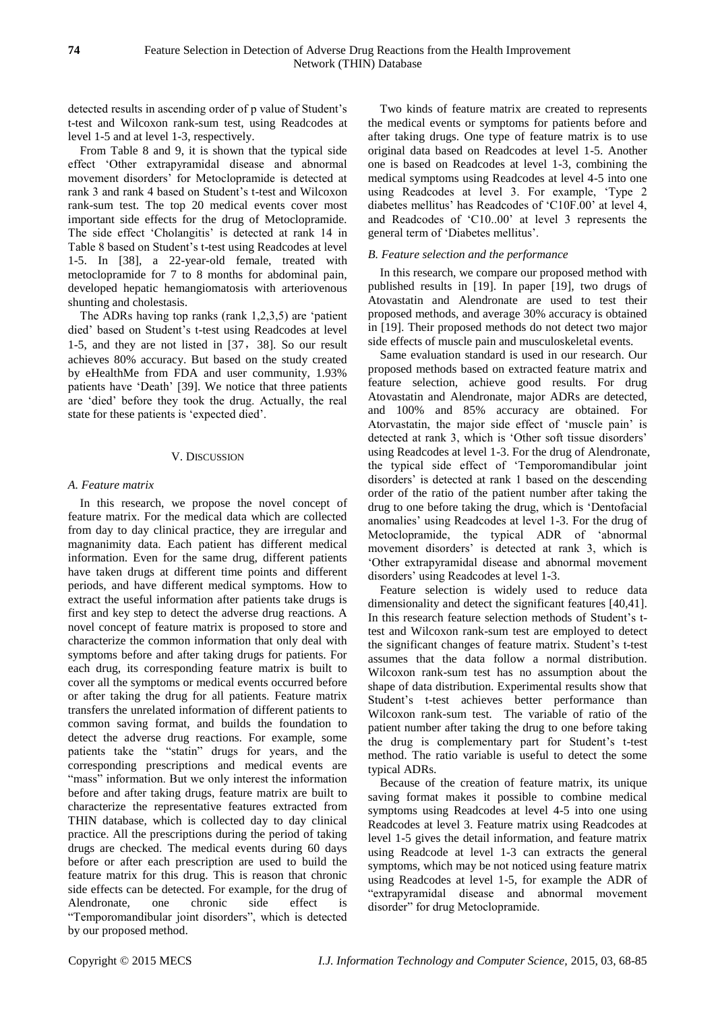detected results in ascending order of p value of Student's t-test and Wilcoxon rank-sum test, using Readcodes at level 1-5 and at level 1-3, respectively.

From Table 8 and 9, it is shown that the typical side effect 'Other extrapyramidal disease and abnormal movement disorders' for Metoclopramide is detected at rank 3 and rank 4 based on Student's t-test and Wilcoxon rank-sum test. The top 20 medical events cover most important side effects for the drug of Metoclopramide. The side effect 'Cholangitis' is detected at rank 14 in Table 8 based on Student's t-test using Readcodes at level 1-5. In [38], a 22-year-old female, treated with metoclopramide for 7 to 8 months for abdominal pain, developed hepatic hemangiomatosis with arteriovenous shunting and cholestasis.

The ADRs having top ranks (rank 1,2,3,5) are 'patient died' based on Student's t-test using Readcodes at level 1-5, and they are not listed in [37,38]. So our result achieves 80% accuracy. But based on the study created by eHealthMe from FDA and user community, 1.93% patients have 'Death' [39]. We notice that three patients are 'died' before they took the drug. Actually, the real state for these patients is 'expected died'.

## V. DISCUSSION

## *A. Feature matrix*

In this research, we propose the novel concept of feature matrix. For the medical data which are collected from day to day clinical practice, they are irregular and magnanimity data. Each patient has different medical information. Even for the same drug, different patients have taken drugs at different time points and different periods, and have different medical symptoms. How to extract the useful information after patients take drugs is first and key step to detect the adverse drug reactions. A novel concept of feature matrix is proposed to store and characterize the common information that only deal with symptoms before and after taking drugs for patients. For each drug, its corresponding feature matrix is built to cover all the symptoms or medical events occurred before or after taking the drug for all patients. Feature matrix transfers the unrelated information of different patients to common saving format, and builds the foundation to detect the adverse drug reactions. For example, some patients take the "statin" drugs for years, and the corresponding prescriptions and medical events are "mass" information. But we only interest the information before and after taking drugs, feature matrix are built to characterize the representative features extracted from THIN database, which is collected day to day clinical practice. All the prescriptions during the period of taking drugs are checked. The medical events during 60 days before or after each prescription are used to build the feature matrix for this drug. This is reason that chronic side effects can be detected. For example, for the drug of Alendronate, one chronic side effect is "Temporomandibular joint disorders", which is detected by our proposed method.

Two kinds of feature matrix are created to represents the medical events or symptoms for patients before and after taking drugs. One type of feature matrix is to use original data based on Readcodes at level 1-5. Another one is based on Readcodes at level 1-3, combining the medical symptoms using Readcodes at level 4-5 into one using Readcodes at level 3. For example, 'Type 2 diabetes mellitus' has Readcodes of 'C10F.00' at level 4, and Readcodes of 'C10..00' at level 3 represents the general term of 'Diabetes mellitus'.

# *B. Feature selection and the performance*

In this research, we compare our proposed method with published results in [19]. In paper [19], two drugs of Atovastatin and Alendronate are used to test their proposed methods, and average 30% accuracy is obtained in [19]. Their proposed methods do not detect two major side effects of muscle pain and musculoskeletal events.

Same evaluation standard is used in our research. Our proposed methods based on extracted feature matrix and feature selection, achieve good results. For drug Atovastatin and Alendronate, major ADRs are detected, and 100% and 85% accuracy are obtained. For Atorvastatin, the major side effect of 'muscle pain' is detected at rank 3, which is 'Other soft tissue disorders' using Readcodes at level 1-3. For the drug of Alendronate, the typical side effect of 'Temporomandibular joint disorders' is detected at rank 1 based on the descending order of the ratio of the patient number after taking the drug to one before taking the drug, which is 'Dentofacial anomalies' using Readcodes at level 1-3. For the drug of Metoclopramide, the typical ADR of 'abnormal movement disorders' is detected at rank 3, which is 'Other extrapyramidal disease and abnormal movement disorders' using Readcodes at level 1-3.

Feature selection is widely used to reduce data dimensionality and detect the significant features [40,41]. In this research feature selection methods of Student's ttest and Wilcoxon rank-sum test are employed to detect the significant changes of feature matrix. Student's t-test assumes that the data follow a normal distribution. Wilcoxon rank-sum test has no assumption about the shape of data distribution. Experimental results show that Student's t-test achieves better performance than Wilcoxon rank-sum test. The variable of ratio of the patient number after taking the drug to one before taking the drug is complementary part for Student's t-test method. The ratio variable is useful to detect the some typical ADRs.

Because of the creation of feature matrix, its unique saving format makes it possible to combine medical symptoms using Readcodes at level 4-5 into one using Readcodes at level 3. Feature matrix using Readcodes at level 1-5 gives the detail information, and feature matrix using Readcode at level 1-3 can extracts the general symptoms, which may be not noticed using feature matrix using Readcodes at level 1-5, for example the ADR of "extrapyramidal disease and abnormal movement disorder" for drug Metoclopramide.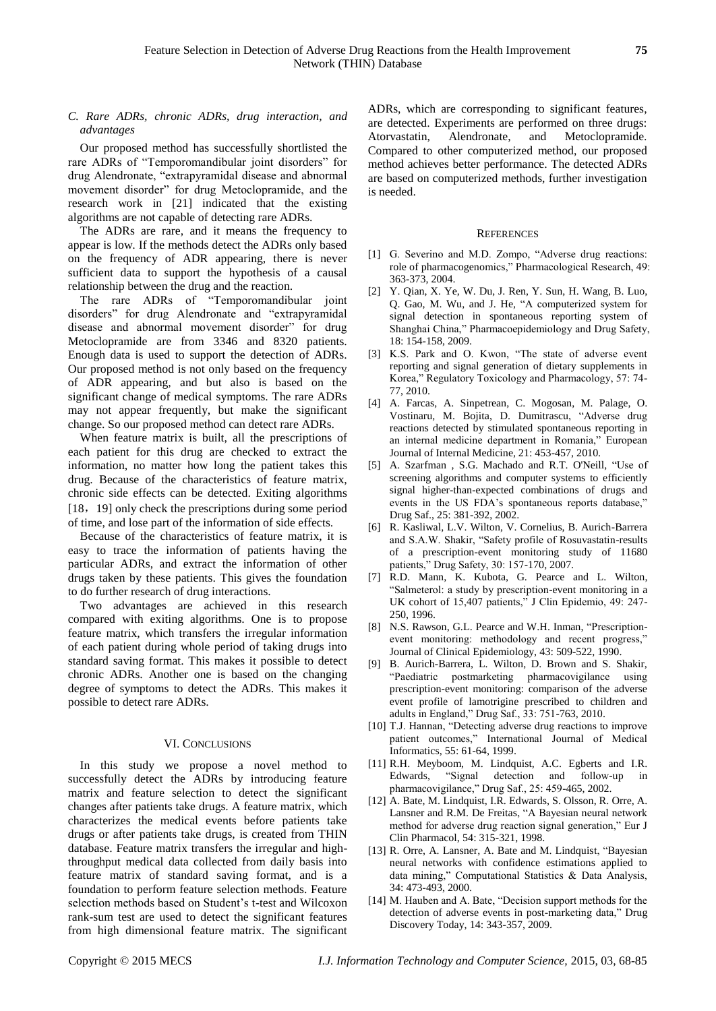*C. Rare ADRs, chronic ADRs, drug interaction, and advantages*

Our proposed method has successfully shortlisted the rare ADRs of "Temporomandibular joint disorders" for drug Alendronate, "extrapyramidal disease and abnormal movement disorder" for drug Metoclopramide, and the research work in [21] indicated that the existing algorithms are not capable of detecting rare ADRs.

The ADRs are rare, and it means the frequency to appear is low. If the methods detect the ADRs only based on the frequency of ADR appearing, there is never sufficient data to support the hypothesis of a causal relationship between the drug and the reaction.

The rare ADRs of "Temporomandibular joint disorders" for drug Alendronate and "extrapyramidal disease and abnormal movement disorder" for drug Metoclopramide are from 3346 and 8320 patients. Enough data is used to support the detection of ADRs. Our proposed method is not only based on the frequency of ADR appearing, and but also is based on the significant change of medical symptoms. The rare ADRs may not appear frequently, but make the significant change. So our proposed method can detect rare ADRs.

When feature matrix is built, all the prescriptions of each patient for this drug are checked to extract the information, no matter how long the patient takes this drug. Because of the characteristics of feature matrix, chronic side effects can be detected. Exiting algorithms [18, 19] only check the prescriptions during some period of time, and lose part of the information of side effects.

Because of the characteristics of feature matrix, it is easy to trace the information of patients having the particular ADRs, and extract the information of other drugs taken by these patients. This gives the foundation to do further research of drug interactions.

Two advantages are achieved in this research compared with exiting algorithms. One is to propose feature matrix, which transfers the irregular information of each patient during whole period of taking drugs into standard saving format. This makes it possible to detect chronic ADRs. Another one is based on the changing degree of symptoms to detect the ADRs. This makes it possible to detect rare ADRs.

#### VI. CONCLUSIONS

In this study we propose a novel method to successfully detect the ADRs by introducing feature matrix and feature selection to detect the significant changes after patients take drugs. A feature matrix, which characterizes the medical events before patients take drugs or after patients take drugs, is created from THIN database. Feature matrix transfers the irregular and highthroughput medical data collected from daily basis into feature matrix of standard saving format, and is a foundation to perform feature selection methods. Feature selection methods based on Student's t-test and Wilcoxon rank-sum test are used to detect the significant features from high dimensional feature matrix. The significant ADRs, which are corresponding to significant features, are detected. Experiments are performed on three drugs: Atorvastatin, Alendronate, and Metoclopramide. Compared to other computerized method, our proposed method achieves better performance. The detected ADRs are based on computerized methods, further investigation is needed.

#### **REFERENCES**

- [1] G. Severino and M.D. Zompo, "Adverse drug reactions: role of pharmacogenomics," Pharmacological Research, 49: 363-373, 2004.
- [2] Y[. Qian,](http://www.ncbi.nlm.nih.gov/pubmed?term=%22Qian%20Y%22%5BAuthor%5D) X[. Ye,](http://www.ncbi.nlm.nih.gov/pubmed?term=%22Ye%20X%22%5BAuthor%5D) W[. Du,](http://www.ncbi.nlm.nih.gov/pubmed?term=%22Du%20W%22%5BAuthor%5D) J. [Ren,](http://www.ncbi.nlm.nih.gov/pubmed?term=%22Ren%20J%22%5BAuthor%5D) Y. [Sun,](http://www.ncbi.nlm.nih.gov/pubmed?term=%22Sun%20Y%22%5BAuthor%5D) H. [Wang,](http://www.ncbi.nlm.nih.gov/pubmed?term=%22Wang%20H%22%5BAuthor%5D) B. [Luo,](http://www.ncbi.nlm.nih.gov/pubmed?term=%22Luo%20B%22%5BAuthor%5D)  Q. [Gao,](http://www.ncbi.nlm.nih.gov/pubmed?term=%22Gao%20Q%22%5BAuthor%5D) M. [Wu,](http://www.ncbi.nlm.nih.gov/pubmed?term=%22Wu%20M%22%5BAuthor%5D) and J. [He,](http://www.ncbi.nlm.nih.gov/pubmed?term=%22He%20J%22%5BAuthor%5D) "A computerized system for signal detection in spontaneous reporting system of Shanghai China," Pharmacoepidemiology and Drug Safety, 18: 154-158, 2009.
- [3] K.S. Park and O. Kwon, "The state of adverse event reporting and signal generation of dietary supplements in Korea," Regulatory Toxicology and Pharmacology, 57: 74- 77, 2010.
- [4] A. [Farcas,](http://www.ncbi.nlm.nih.gov/pubmed?term=%22Farcas%20A%22%5BAuthor%5D) A. [Sinpetrean, C](http://www.ncbi.nlm.nih.gov/pubmed?term=%22Sinpetrean%20A%22%5BAuthor%5D). [Mogosan,](http://www.ncbi.nlm.nih.gov/pubmed?term=%22Mogosan%20C%22%5BAuthor%5D) M. [Palage,](http://www.ncbi.nlm.nih.gov/pubmed?term=%22Palage%20M%22%5BAuthor%5D) O. [Vostinaru,](http://www.ncbi.nlm.nih.gov/pubmed?term=%22Vostinaru%20O%22%5BAuthor%5D) M. [Bojita,](http://www.ncbi.nlm.nih.gov/pubmed?term=%22Bojita%20M%22%5BAuthor%5D) D. [Dumitrascu,](http://www.ncbi.nlm.nih.gov/pubmed?term=%22Dumitrascu%20D%22%5BAuthor%5D) "Adverse drug reactions detected by stimulated spontaneous reporting in an internal medicine department in Romania," European Journal of Internal Medicine, 21: 453-457, 2010.
- [5] A. [Szarfman ,](http://www.ncbi.nlm.nih.gov/pubmed?term=%22Szarfman%20A%22%5BAuthor%5D) S.G. [Machado](http://www.ncbi.nlm.nih.gov/pubmed?term=%22Machado%20SG%22%5BAuthor%5D) and R.T. [O'Neill, "](http://www.ncbi.nlm.nih.gov/pubmed?term=%22O)Use of screening algorithms and computer systems to efficiently signal higher-than-expected combinations of drugs and events in the US FDA's spontaneous reports database," Drug Saf., 25: 381-392, 2002.
- [6] R. Kasliwal, L.V. Wilton, V. Cornelius, B. Aurich-Barrera and S.A.W. Shakir, "Safety profile of Rosuvastatin-results of a prescription-event monitoring study of 11680 patients," Drug Safety, 30: 157-170, 2007.
- [7] R.D. [Mann,](http://www.ncbi.nlm.nih.gov/pubmed?term=%22Mann%20RD%22%5BAuthor%5D) K. [Kubota,](http://www.ncbi.nlm.nih.gov/pubmed?term=%22Kubota%20K%22%5BAuthor%5D) G. [Pearce](http://www.ncbi.nlm.nih.gov/pubmed?term=%22Pearce%20G%22%5BAuthor%5D) and L. [Wilton,](http://www.ncbi.nlm.nih.gov/pubmed?term=%22Wilton%20L%22%5BAuthor%5D)  "Salmeterol: a study by prescription-event monitoring in a UK cohort of 15,407 patients," J Clin Epidemio, 49: 247- 250, 1996.
- [8] N.S. [Rawson,](http://www.ncbi.nlm.nih.gov/pubmed?term=%22Rawson%20NS%22%5BAuthor%5D) G.L. [Pearce](http://www.ncbi.nlm.nih.gov/pubmed?term=%22Pearce%20GL%22%5BAuthor%5D) and W.H. [Inman,](http://www.ncbi.nlm.nih.gov/pubmed?term=%22Inman%20WH%22%5BAuthor%5D) "Prescriptionevent monitoring: methodology and recent progress," [Journal of Clinical Epidemiology,](http://www.sciencedirect.com/science/journal/08954356) [43:](http://www.sciencedirect.com/science?_ob=PublicationURL&_tockey=%23TOC%235076%231990%23999569994%23480967%23FLP%23&_cdi=5076&_pubType=J&view=c&_auth=y&_acct=C000009959&_version=1&_urlVersion=0&_userid=5939061&md5=996cc9f54ca4c6208a2ba68afb877815) 509-522, 1990.
- [9] B. Aurich-Barrera, L. Wilton, D. Brown and S. Shakir, "Paediatric postmarketing pharmacovigilance using prescription-event monitoring: comparison of the adverse event profile of lamotrigine prescribed to children and adults in England," Drug Saf., 33: 751-763, 2010.
- [10] T.J. Hannan, "Detecting adverse drug reactions to improve patient outcomes," International Journal of Medical Informatics, 55: 61-64, 1999.
- [11] R.H. [Meyboom, M](http://www.ncbi.nlm.nih.gov/pubmed?term=%22Meyboom%20RH%22%5BAuthor%5D). [Lindquist,](http://www.ncbi.nlm.nih.gov/pubmed?term=%22Lindquist%20M%22%5BAuthor%5D) A.C. [Egberts](http://www.ncbi.nlm.nih.gov/pubmed?term=%22Egberts%20AC%22%5BAuthor%5D) and I.R. [Edwards, "](http://www.ncbi.nlm.nih.gov/pubmed?term=%22Edwards%20IR%22%5BAuthor%5D)Signal detection and follow-up in pharmacovigilance," Drug Saf., 25: 459-465, 2002.
- [12] A. [Bate,](http://www.ncbi.nlm.nih.gov/pubmed?term=%22Bate%20A%22%5BAuthor%5D) M[. Lindquist,](http://www.ncbi.nlm.nih.gov/pubmed?term=%22Lindquist%20M%22%5BAuthor%5D) I.R[. Edwards,](http://www.ncbi.nlm.nih.gov/pubmed?term=%22Edwards%20IR%22%5BAuthor%5D) S. [Olsson,](http://www.ncbi.nlm.nih.gov/pubmed?term=%22Olsson%20S%22%5BAuthor%5D) R. [Orre,](http://www.ncbi.nlm.nih.gov/pubmed?term=%22Orre%20R%22%5BAuthor%5D) A. [Lansner](http://www.ncbi.nlm.nih.gov/pubmed?term=%22Lansner%20A%22%5BAuthor%5D) and R.M[. De Freitas,](http://www.ncbi.nlm.nih.gov/pubmed?term=%22De%20Freitas%20RM%22%5BAuthor%5D) "A Bayesian neural network method for adverse drug reaction signal generation," Eur J Clin Pharmacol, 54: 315-321, 1998.
- [13] R. Orre, A. Lansner, A. Bate and M. Lindquist, "Bayesian neural networks with confidence estimations applied to data mining," Computational Statistics & Data Analysis, 34: 473-493, 2000.
- [14] M. Hauben and A. Bate, "Decision support methods for the detection of adverse events in post-marketing data," Drug Discovery Today, 14: 343-357, 2009.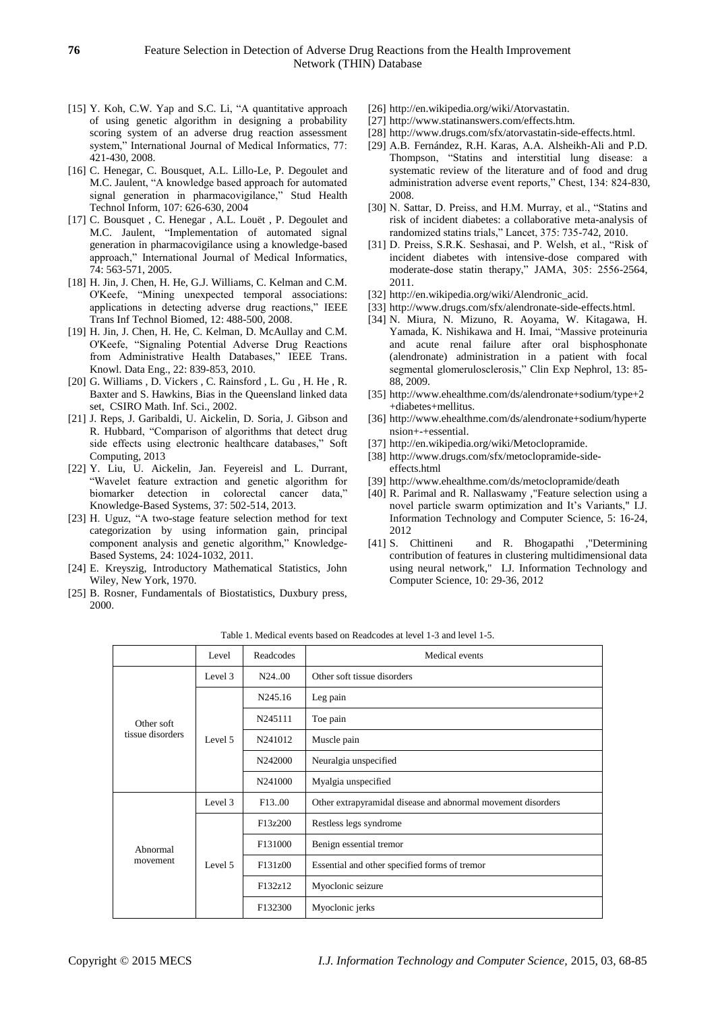- [15] Y. [Koh,](http://www.ncbi.nlm.nih.gov/pubmed?term=%22Koh%20Y%22%5BAuthor%5D) C.W. [Yap](http://www.ncbi.nlm.nih.gov/pubmed?term=%22Yap%20CW%22%5BAuthor%5D) and S.C. [Li,](http://www.ncbi.nlm.nih.gov/pubmed?term=%22Li%20SC%22%5BAuthor%5D) "A quantitative approach of using genetic algorithm in designing a probability scoring system of an adverse drug reaction assessment system," International Journal of Medical Informatics, 77: 421-430, 2008.
- [16] C. [Henegar,](http://www.ncbi.nlm.nih.gov/pubmed?term=%22Henegar%20C%22%5BAuthor%5D) C. [Bousquet,](http://www.ncbi.nlm.nih.gov/pubmed?term=%22Bousquet%20C%22%5BAuthor%5D) A.L. [Lillo-Le,](http://www.ncbi.nlm.nih.gov/pubmed?term=%22Lillo-Le%20Lou%C3%ABt%20A%22%5BAuthor%5D) P. [Degoulet](http://www.ncbi.nlm.nih.gov/pubmed?term=%22Degoulet%20P%22%5BAuthor%5D) and M.C[. Jaulent,](http://www.ncbi.nlm.nih.gov/pubmed?term=%22Jaulent%20MC%22%5BAuthor%5D) "A knowledge based approach for automated signal generation in pharmacovigilance," [Stud Health](http://www.ncbi.nlm.nih.gov/pubmed/15360888)  [Technol Inform,](http://www.ncbi.nlm.nih.gov/pubmed/15360888) 107: 626-630, 2004
- [17] C. Bousquet, C. Henegar, A.L. Lou ä, P. [Degoulet](http://www.ncbi.nlm.nih.gov/pubmed?term=%22Degoulet%20P%22%5BAuthor%5D) and M.C. [Jaulent,](http://www.ncbi.nlm.nih.gov/pubmed?term=%22Jaulent%20MC%22%5BAuthor%5D) "Implementation of automated signal generation in pharmacovigilance using a knowledge-based approach," International Journal of Medical Informatics, 74: 563-571, 2005.
- [18] H. Jin, J. Chen, H. He, G.J. Williams, C. Kelman and C.M. O'Keefe, "Mining unexpected temporal associations: applications in detecting adverse drug reactions," [IEEE](http://www.ncbi.nlm.nih.gov/pubmed/18632329)  [Trans Inf Technol Biomed,](http://www.ncbi.nlm.nih.gov/pubmed/18632329) 12: 488-500, 2008.
- [19] H. Jin, J. Chen, H. He, C. Kelman, D. McAullay and C.M. O'Keefe, "Signaling Potential Adverse Drug Reactions from Administrative Health Databases," [IEEE Trans.](http://www.informatik.uni-trier.de/~ley/db/journals/tkde/tkde22.html#JinCHKMO10)  [Knowl. Data Eng., 22:](http://www.informatik.uni-trier.de/~ley/db/journals/tkde/tkde22.html#JinCHKMO10) 839-853, 2010.
- [20] G. Williams , D. Vickers , C. Rainsford , L. Gu , H. He , R. Baxter and S. Hawkins, Bias in the Queensland linked data set, CSIRO Math. Inf. Sci., 2002.
- [21] [J. Reps,](http://link.springer.com/search?facet-author=%22Jenna+Marie+Reps%22) [J. Garibaldi,](http://link.springer.com/search?facet-author=%22Jonathan+M.+Garibaldi%22) [U. Aickelin,](http://link.springer.com/search?facet-author=%22Uwe+Aickelin%22) [D. Soria,](http://link.springer.com/search?facet-author=%22Daniele+Soria%22) [J. Gibson](http://link.springer.com/search?facet-author=%22Jack+Gibson%22) and [R. Hubbard,](http://link.springer.com/search?facet-author=%22Richard+Hubbard%22) "Comparison of algorithms that detect drug side effects using electronic healthcare databases," [Soft](http://link.springer.com/journal/500)  [Computing,](http://link.springer.com/journal/500) 2013
- [22] Y. Liu, U. Aickelin, Jan. Feyereisl and L. Durrant, "Wavelet feature extraction and genetic algorithm for biomarker detection in colorectal cancer data," Knowledge-Based Systems, 37: 502-514, 2013.
- [23] H. Uguz, "A two-stage feature selection method for text categorization by using information gain, principal component analysis and genetic algorithm," Knowledge-Based Systems, 24: 1024-1032, 2011.
- [24] E. Kreyszig, Introductory Mathematical Statistics, John Wiley, New York, 1970.
- [25] B. Rosner, Fundamentals of Biostatistics, Duxbury press, 2000.
- [26] [http://en.wikipedia.org/wiki/Atorvastatin.](http://en.wikipedia.org/wiki/Atorvastatin)
- [27] http://www.statinanswers.com/effects.htm.
- [28] [http://www.drugs.com/sfx/atorvastatin-side-effects.html.](http://www.drugs.com/sfx/atorvastatin-side-effects.html)
- [29] A.B. [Fernández,](http://www.ncbi.nlm.nih.gov/pubmed?term=%22Fern%C3%A1ndez%20AB%22%5BAuthor%5D) R.H. [Karas,](http://www.ncbi.nlm.nih.gov/pubmed?term=%22Karas%20RH%22%5BAuthor%5D) A.A. [Alsheikh-Ali](http://www.ncbi.nlm.nih.gov/pubmed?term=%22Alsheikh-Ali%20AA%22%5BAuthor%5D) and P.D. [Thompson,](http://www.ncbi.nlm.nih.gov/pubmed?term=%22Thompson%20PD%22%5BAuthor%5D) "Statins and interstitial lung disease: a systematic review of the literature and of food and drug administration adverse event reports," Chest, 134: 824-830, 2008.
- [30] N. Sattar, D. Preiss, and H.M. Murray, et al., "Statins and risk of incident diabetes: a collaborative meta-analysis of randomized statins trials," Lancet, 375: 735-742, 2010.
- [31] D. Preiss, S.R.K. Seshasai, and P. Welsh, et al., "Risk of incident diabetes with intensive-dose compared with moderate-dose statin therapy," JAMA, 305: 2556-2564, 2011.
- [32] [http://en.wikipedia.org/wiki/Alendronic\\_acid.](http://en.wikipedia.org/wiki/Alendronic_acid)
- [33] [http://www.drugs.com/sfx/alendronate-side-effects.html.](http://www.drugs.com/sfx/alendronate-side-effects.html)
- [34] N. [Miura,](http://www.ncbi.nlm.nih.gov/pubmed?term=%22Miura%20N%22%5BAuthor%5D) N. [Mizuno,](http://www.ncbi.nlm.nih.gov/pubmed?term=%22Mizuno%20N%22%5BAuthor%5D) R. [Aoyama,](http://www.ncbi.nlm.nih.gov/pubmed?term=%22Aoyama%20R%22%5BAuthor%5D) W. [Kitagawa,](http://www.ncbi.nlm.nih.gov/pubmed?term=%22Kitagawa%20W%22%5BAuthor%5D) H. [Yamada,](http://www.ncbi.nlm.nih.gov/pubmed?term=%22Yamada%20H%22%5BAuthor%5D) K. [Nishikawa](http://www.ncbi.nlm.nih.gov/pubmed?term=%22Nishikawa%20K%22%5BAuthor%5D) and H. [Imai,](http://www.ncbi.nlm.nih.gov/pubmed?term=%22Imai%20H%22%5BAuthor%5D) "Massive proteinuria and acute renal failure after oral bisphosphonate (alendronate) administration in a patient with focal segmental glomerulosclerosis," [Clin Exp Nephrol,](http://www.ncbi.nlm.nih.gov/pubmed/18754075) 13: 85- 88, 2009.
- [35] http://www.ehealthme.com/ds/alendronate+sodium/type+2 +diabetes+mellitus.
- [36] [http://www.ehealthme.com/ds/alendronate+sodium/hyperte](http://www.ehealthme.com/ds/alendronate+sodium/hypertension+-+essential) [nsion+-+essential.](http://www.ehealthme.com/ds/alendronate+sodium/hypertension+-+essential)
- [37] [http://en.wikipedia.org/wiki/Metoclopramide.](http://en.wikipedia.org/wiki/Metoclopramide)
- [38] http://www.drugs.com/sfx/metoclopramide-sideeffects.html
- [39] <http://www.ehealthme.com/ds/metoclopramide/death>
- [40] R. Parimal and R. Nallaswamy ,"Feature selection using a novel particle swarm optimization and It's Variants," I.J. Information Technology and Computer Science, 5: 16-24, 2012<br>[41] S. Chittineni
- and R. Bhogapathi ,"Determining contribution of features in clustering multidimensional data using neural network," I.J. Information Technology and Computer Science, 10: 29-36, 2012

|                  | Level   | Readcodes           | Medical events                                               |  |  |  |
|------------------|---------|---------------------|--------------------------------------------------------------|--|--|--|
|                  | Level 3 | N2400               | Other soft tissue disorders                                  |  |  |  |
|                  |         | N245.16             | Leg pain                                                     |  |  |  |
| Other soft       |         | N245111             | Toe pain                                                     |  |  |  |
| tissue disorders | Level 5 | N241012             | Muscle pain                                                  |  |  |  |
|                  |         | N242000             | Neuralgia unspecified                                        |  |  |  |
|                  |         | N241000             | Myalgia unspecified                                          |  |  |  |
|                  | Level 3 | F <sub>13</sub> .00 | Other extrapyramidal disease and abnormal movement disorders |  |  |  |
|                  |         | F13z200             | Restless legs syndrome                                       |  |  |  |
| Abnormal         |         | F131000             | Benign essential tremor                                      |  |  |  |
| movement         | Level 5 | F131z00             | Essential and other specified forms of tremor                |  |  |  |
|                  |         | F132z12             | Myoclonic seizure                                            |  |  |  |
|                  |         | F132300             | Myoclonic jerks                                              |  |  |  |

Table 1. Medical events based on Readcodes at level 1-3 and level 1-5.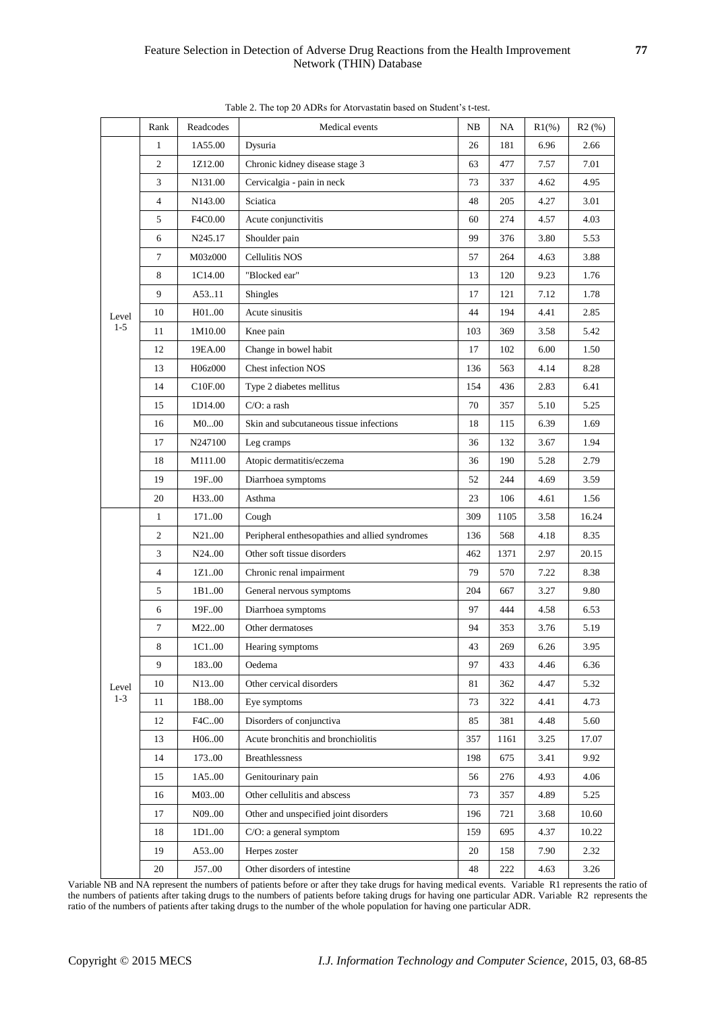|                  | Rank           | Readcodes           | Medical events                                 | NB  | NA   | $R1(\%)$ | R2(%) |
|------------------|----------------|---------------------|------------------------------------------------|-----|------|----------|-------|
|                  | $\mathbf{1}$   | 1A55.00             | Dysuria                                        | 26  | 181  | 6.96     | 2.66  |
|                  | 2              | 1Z12.00             | Chronic kidney disease stage 3                 | 63  | 477  | 7.57     | 7.01  |
|                  | 3              | N131.00             | Cervicalgia - pain in neck                     | 73  | 337  | 4.62     | 4.95  |
|                  | $\overline{4}$ | N143.00             | Sciatica                                       | 48  | 205  | 4.27     | 3.01  |
|                  | 5              | F4C0.00             | Acute conjunctivitis                           | 60  | 274  | 4.57     | 4.03  |
|                  | 6              | N245.17             | Shoulder pain                                  | 99  | 376  | 3.80     | 5.53  |
|                  | 7              | M03z000             | Cellulitis NOS                                 | 57  | 264  | 4.63     | 3.88  |
|                  | 8              | 1C14.00             | "Blocked ear"                                  | 13  | 120  | 9.23     | 1.76  |
|                  | 9              | A53.11              | Shingles                                       | 17  | 121  | 7.12     | 1.78  |
| Level<br>$1 - 5$ | 10             | H0100               | Acute sinusitis                                | 44  | 194  | 4.41     | 2.85  |
|                  | 11             | 1M10.00             | Knee pain                                      | 103 | 369  | 3.58     | 5.42  |
|                  | 12             | 19EA.00             | Change in bowel habit                          | 17  | 102  | 6.00     | 1.50  |
|                  | 13             | H06z000             | <b>Chest infection NOS</b>                     | 136 | 563  | 4.14     | 8.28  |
|                  | 14             | C <sub>10F.00</sub> | Type 2 diabetes mellitus                       | 154 | 436  | 2.83     | 6.41  |
|                  | 15             | 1D14.00             | $C/O$ : a rash                                 | 70  | 357  | 5.10     | 5.25  |
|                  | 16             | M000                | Skin and subcutaneous tissue infections        | 18  | 115  | 6.39     | 1.69  |
|                  | 17             | N247100             | Leg cramps                                     | 36  | 132  | 3.67     | 1.94  |
|                  | 18             | M111.00             | Atopic dermatitis/eczema                       | 36  | 190  | 5.28     | 2.79  |
|                  | 19             | 19F00               | Diarrhoea symptoms                             | 52  | 244  | 4.69     | 3.59  |
|                  | 20             | H3300               | Asthma                                         | 23  | 106  | 4.61     | 1.56  |
|                  | $\mathbf{1}$   | 17100               | Cough                                          | 309 | 1105 | 3.58     | 16.24 |
|                  | 2              | N <sub>21</sub> .00 | Peripheral enthesopathies and allied syndromes | 136 | 568  | 4.18     | 8.35  |
|                  | $\mathfrak{Z}$ | N <sub>24</sub> .00 | Other soft tissue disorders                    | 462 | 1371 | 2.97     | 20.15 |
|                  | $\overline{4}$ | 1Z100               | Chronic renal impairment                       | 79  | 570  | 7.22     | 8.38  |
|                  | 5              | 1B100               | General nervous symptoms                       | 204 | 667  | 3.27     | 9.80  |
|                  | 6              | 19F.00              | Diarrhoea symptoms                             | 97  | 444  | 4.58     | 6.53  |
|                  | $\tau$         | M2200               | Other dermatoses                               | 94  | 353  | 3.76     | 5.19  |
|                  | 8              | 1C100               | Hearing symptoms                               | 43  | 269  | 6.26     | 3.95  |
|                  | 9              | 183.00              | Oedema                                         | 97  | 433  | 4.46     | 6.36  |
| Level            | 10             | N13.00              | Other cervical disorders                       | 81  | 362  | 4.47     | 5.32  |
| $1 - 3$          | 11             | 1B8.00              | Eye symptoms                                   | 73  | 322  | 4.41     | 4.73  |
|                  | 12             | F4C00               | Disorders of conjunctiva                       | 85  | 381  | 4.48     | 5.60  |
|                  | 13             | H0600               | Acute bronchitis and bronchiolitis             | 357 | 1161 | 3.25     | 17.07 |
|                  | 14             | 17300               | <b>Breathlessness</b>                          | 198 | 675  | 3.41     | 9.92  |
|                  | 15             | 1A5.00              | Genitourinary pain                             | 56  | 276  | 4.93     | 4.06  |
|                  | 16             | M0300               | Other cellulitis and abscess                   | 73  | 357  | 4.89     | 5.25  |
|                  | 17             | N09.00              | Other and unspecified joint disorders          | 196 | 721  | 3.68     | 10.60 |
|                  | 18             | 1D100               | C/O: a general symptom                         | 159 | 695  | 4.37     | 10.22 |
|                  | 19             | A5300               | Herpes zoster                                  | 20  | 158  | 7.90     | 2.32  |
|                  | $20\,$         | J5700               | Other disorders of intestine                   | 48  | 222  | 4.63     | 3.26  |

Table 2. The top 20 ADRs for Atorvastatin based on Student's t-test.

Variable NB and NA represent the numbers of patients before or after they take drugs for having medical events. Variable R1 represents the ratio of the numbers of patients after taking drugs to the numbers of patients before taking drugs for having one particular ADR. Variable R2 represents the ratio of the numbers of patients after taking drugs to the number of the whole population for having one particular ADR.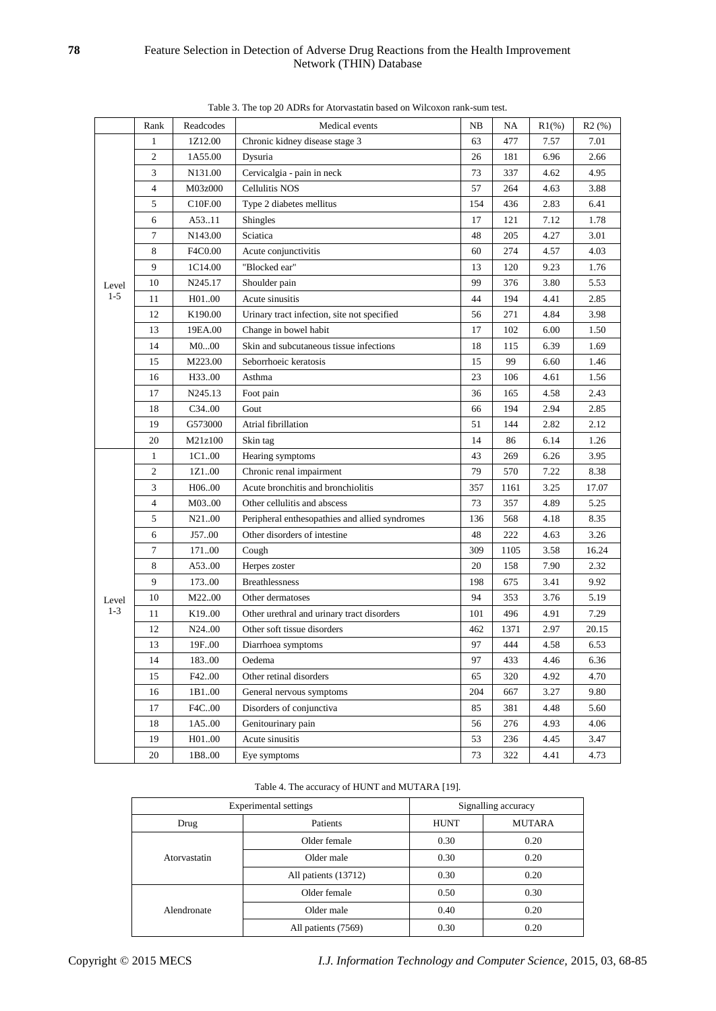|         | Rank           | Readcodes           | Medical events                                 | NB  | NA   | $R1(\%)$ | R2(%) |
|---------|----------------|---------------------|------------------------------------------------|-----|------|----------|-------|
|         | $\mathbf{1}$   | 1Z12.00             | Chronic kidney disease stage 3                 | 63  | 477  | 7.57     | 7.01  |
|         | 2              | 1A55.00             | Dysuria                                        | 26  | 181  | 6.96     | 2.66  |
|         | 3              | N131.00             | Cervicalgia - pain in neck                     | 73  | 337  | 4.62     | 4.95  |
|         | $\overline{4}$ | M03z000             | <b>Cellulitis NOS</b>                          | 57  | 264  | 4.63     | 3.88  |
|         | 5              | C <sub>10F.00</sub> | Type 2 diabetes mellitus                       | 154 | 436  | 2.83     | 6.41  |
|         | 6              | A53.11              | Shingles                                       | 17  | 121  | 7.12     | 1.78  |
|         | 7              | N143.00             | Sciatica                                       | 48  | 205  | 4.27     | 3.01  |
|         | 8              | F4C0.00             | Acute conjunctivitis                           | 60  | 274  | 4.57     | 4.03  |
| Level   | 9              | 1C14.00             | "Blocked ear"                                  | 13  | 120  | 9.23     | 1.76  |
|         | 10             | N245.17             | Shoulder pain                                  | 99  | 376  | 3.80     | 5.53  |
| $1 - 5$ | 11             | H01.00              | Acute sinusitis                                | 44  | 194  | 4.41     | 2.85  |
|         | 12             | K190.00             | Urinary tract infection, site not specified    | 56  | 271  | 4.84     | 3.98  |
|         | 13             | 19EA.00             | Change in bowel habit                          | 17  | 102  | 6.00     | 1.50  |
|         | 14             | M000                | Skin and subcutaneous tissue infections        | 18  | 115  | 6.39     | 1.69  |
|         | 15             | M223.00             | Seborrhoeic keratosis                          | 15  | 99   | 6.60     | 1.46  |
|         | 16             | H33.00              | Asthma                                         | 23  | 106  | 4.61     | 1.56  |
|         | 17             | N245.13             | Foot pain                                      | 36  | 165  | 4.58     | 2.43  |
|         | 18             | C3400               | Gout                                           | 66  | 194  | 2.94     | 2.85  |
|         | 19             | G573000             | Atrial fibrillation                            | 51  | 144  | 2.82     | 2.12  |
|         | 20             | M21z100             | Skin tag                                       | 14  | 86   | 6.14     | 1.26  |
|         | $\mathbf{1}$   | 1C100               | Hearing symptoms                               | 43  | 269  | 6.26     | 3.95  |
|         | 2              | 1Z100               | Chronic renal impairment                       | 79  | 570  | 7.22     | 8.38  |
|         | 3              | H06.00              | Acute bronchitis and bronchiolitis             | 357 | 1161 | 3.25     | 17.07 |
|         | 4              | M0300               | Other cellulitis and abscess                   | 73  | 357  | 4.89     | 5.25  |
|         | 5              | N21.00              | Peripheral enthesopathies and allied syndromes | 136 | 568  | 4.18     | 8.35  |
|         | 6              | J57.00              | Other disorders of intestine                   | 48  | 222  | 4.63     | 3.26  |
|         | $\tau$         | 17100               | Cough                                          | 309 | 1105 | 3.58     | 16.24 |
|         | 8              | A5300               | Herpes zoster                                  | 20  | 158  | 7.90     | 2.32  |
|         | 9              | 17300               | <b>Breathlessness</b>                          | 198 | 675  | 3.41     | 9.92  |
| Level   | 10             | M2200               | Other dermatoses                               | 94  | 353  | 3.76     | 5.19  |
| $1 - 3$ | 11             | K <sub>19.00</sub>  | Other urethral and urinary tract disorders     | 101 | 496  | 4.91     | 7.29  |
|         | 12             | N24.00              | Other soft tissue disorders                    | 462 | 1371 | 2.97     | 20.15 |
|         | 13             | 19F00               | Diarrhoea symptoms                             | 97  | 444  | 4.58     | 6.53  |
|         | 14             | 18300               | Oedema                                         | 97  | 433  | 4.46     | 6.36  |
|         | 15             | F42.00              | Other retinal disorders                        | 65  | 320  | 4.92     | 4.70  |
|         | 16             | 1B100               | General nervous symptoms                       | 204 | 667  | 3.27     | 9.80  |
|         | 17             | F4C00               | Disorders of conjunctiva                       | 85  | 381  | 4.48     | 5.60  |
|         | 18             | 1A500               | Genitourinary pain                             | 56  | 276  | 4.93     | 4.06  |
|         | 19             | H0100               | Acute sinusitis                                | 53  | 236  | 4.45     | 3.47  |
|         | 20             | 1B800               | Eye symptoms                                   | 73  | 322  | 4.41     | 4.73  |

Table 3. The top 20 ADRs for Atorvastatin based on Wilcoxon rank-sum test.

#### Table 4. The accuracy of HUNT and MUTARA [19].

|              | Experimental settings | Signalling accuracy |               |  |  |
|--------------|-----------------------|---------------------|---------------|--|--|
| Drug         | Patients              | <b>HUNT</b>         | <b>MUTARA</b> |  |  |
|              | Older female          | 0.30                | 0.20          |  |  |
| Atorvastatin | Older male            | 0.30                | 0.20          |  |  |
|              | All patients (13712)  | 0.30                | 0.20          |  |  |
|              | Older female          | 0.50                | 0.30          |  |  |
| Alendronate  | Older male            | 0.40                | 0.20          |  |  |
|              | All patients (7569)   | 0.30                | 0.20          |  |  |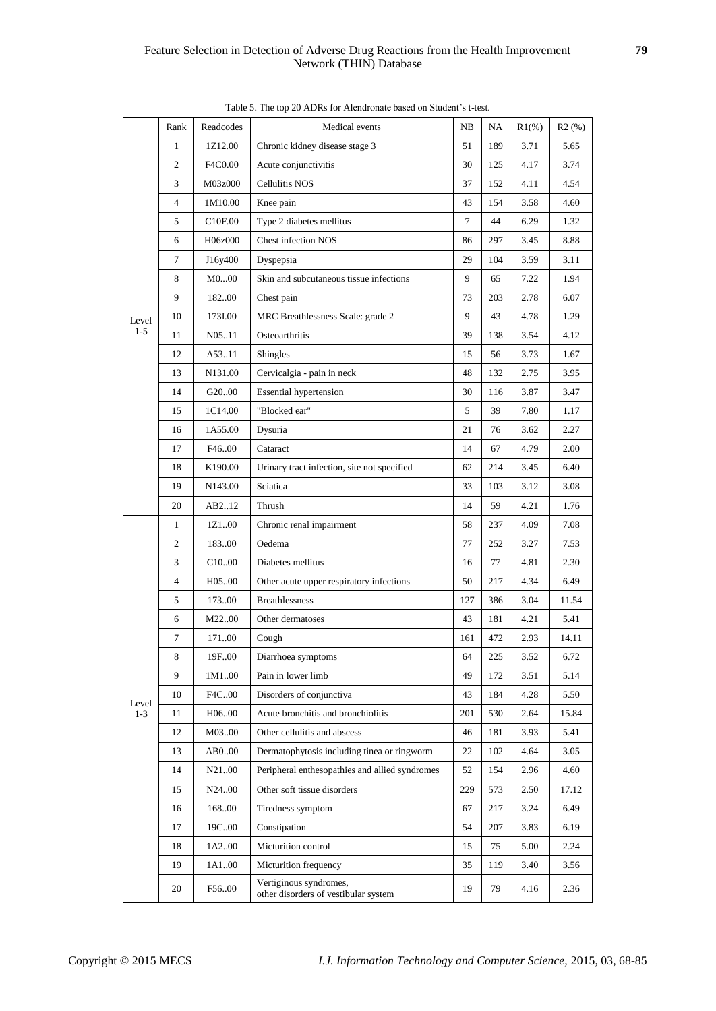|                  | Rank         | Readcodes           | Medical events                                                 | NB  | NA  | $R1(\%)$ | R2(%) |
|------------------|--------------|---------------------|----------------------------------------------------------------|-----|-----|----------|-------|
|                  | $\mathbf{1}$ | 1Z12.00             | Chronic kidney disease stage 3                                 | 51  | 189 | 3.71     | 5.65  |
|                  | $\mathbf{2}$ | F4C0.00             | Acute conjunctivitis                                           | 30  | 125 | 4.17     | 3.74  |
|                  | 3            | M03z000             | Cellulitis NOS                                                 | 37  | 152 | 4.11     | 4.54  |
|                  | 4            | 1M10.00             | Knee pain                                                      | 43  | 154 | 3.58     | 4.60  |
|                  | 5            | C <sub>10F.00</sub> | Type 2 diabetes mellitus                                       | 7   | 44  | 6.29     | 1.32  |
|                  | 6            | H06z000             | <b>Chest infection NOS</b>                                     | 86  | 297 | 3.45     | 8.88  |
|                  | 7            | J16y400             | Dyspepsia                                                      | 29  | 104 | 3.59     | 3.11  |
|                  | 8            | M000                | Skin and subcutaneous tissue infections                        | 9   | 65  | 7.22     | 1.94  |
| Level<br>$1 - 5$ | 9            | 18200               | Chest pain                                                     | 73  | 203 | 2.78     | 6.07  |
|                  | 10           | 173I.00             | MRC Breathlessness Scale: grade 2                              | 9   | 43  | 4.78     | 1.29  |
|                  | 11           | N0511               | Osteoarthritis                                                 | 39  | 138 | 3.54     | 4.12  |
|                  | 12           | A53.11              | Shingles                                                       | 15  | 56  | 3.73     | 1.67  |
|                  | 13           | N131.00             | Cervicalgia - pain in neck                                     | 48  | 132 | 2.75     | 3.95  |
|                  | 14           | G2000               | <b>Essential hypertension</b>                                  | 30  | 116 | 3.87     | 3.47  |
|                  | 15           | 1C14.00             | "Blocked ear"                                                  | 5   | 39  | 7.80     | 1.17  |
|                  | 16           | 1A55.00             | Dysuria                                                        | 21  | 76  | 3.62     | 2.27  |
|                  | 17           | F46.00              | Cataract                                                       | 14  | 67  | 4.79     | 2.00  |
|                  | 18           | K190.00             | Urinary tract infection, site not specified                    | 62  | 214 | 3.45     | 6.40  |
|                  | 19           | N143.00             | Sciatica                                                       | 33  | 103 | 3.12     | 3.08  |
|                  | 20           | AB212               | Thrush                                                         | 14  | 59  | 4.21     | 1.76  |
|                  | 1            | 1Z100               | Chronic renal impairment                                       | 58  | 237 | 4.09     | 7.08  |
|                  | 2            | 18300               | Oedema                                                         | 77  | 252 | 3.27     | 7.53  |
|                  | 3            | C <sub>10.00</sub>  | Diabetes mellitus                                              | 16  | 77  | 4.81     | 2.30  |
|                  | 4            | H05.00              | Other acute upper respiratory infections                       | 50  | 217 | 4.34     | 6.49  |
|                  | 5            | 17300               | <b>Breathlessness</b>                                          | 127 | 386 | 3.04     | 11.54 |
|                  | 6            | M2200               | Other dermatoses                                               | 43  | 181 | 4.21     | 5.41  |
|                  | 7            | 17100               | Cough                                                          | 161 | 472 | 2.93     | 14.11 |
|                  | 8            | 19F.00              | Diarrhoea symptoms                                             | 64  | 225 | 3.52     | 6.72  |
|                  | 9            | 1M100               | Pain in lower limb                                             | 49  | 172 | 3.51     | 5.14  |
|                  | 10           | F4C00               | Disorders of conjunctiva                                       | 43  | 184 | 4.28     | 5.50  |
| Level<br>$1 - 3$ | 11           | H0600               | Acute bronchitis and bronchiolitis                             | 201 | 530 | 2.64     | 15.84 |
|                  | 12           | M0300               | Other cellulitis and abscess                                   | 46  | 181 | 3.93     | 5.41  |
|                  | 13           | AB000               | Dermatophytosis including tinea or ringworm                    | 22  | 102 | 4.64     | 3.05  |
|                  | 14           | N21.00              | Peripheral enthesopathies and allied syndromes                 | 52  | 154 | 2.96     | 4.60  |
|                  | 15           | N <sub>24</sub> .00 | Other soft tissue disorders                                    | 229 | 573 | 2.50     | 17.12 |
|                  | 16           | 168.00              | Tiredness symptom                                              | 67  | 217 | 3.24     | 6.49  |
|                  | 17           | 19C00               | Constipation                                                   | 54  | 207 | 3.83     | 6.19  |
|                  | 18           | 1A200               | Micturition control                                            | 15  | 75  | 5.00     | 2.24  |
|                  | 19           | 1A100               | Micturition frequency                                          | 35  | 119 | 3.40     | 3.56  |
|                  | 20           | F5600               | Vertiginous syndromes,<br>other disorders of vestibular system | 19  | 79  | 4.16     | 2.36  |

|  |  |  |  |  |  | Table 5. The top 20 ADRs for Alendronate based on Student's t-test. |
|--|--|--|--|--|--|---------------------------------------------------------------------|
|--|--|--|--|--|--|---------------------------------------------------------------------|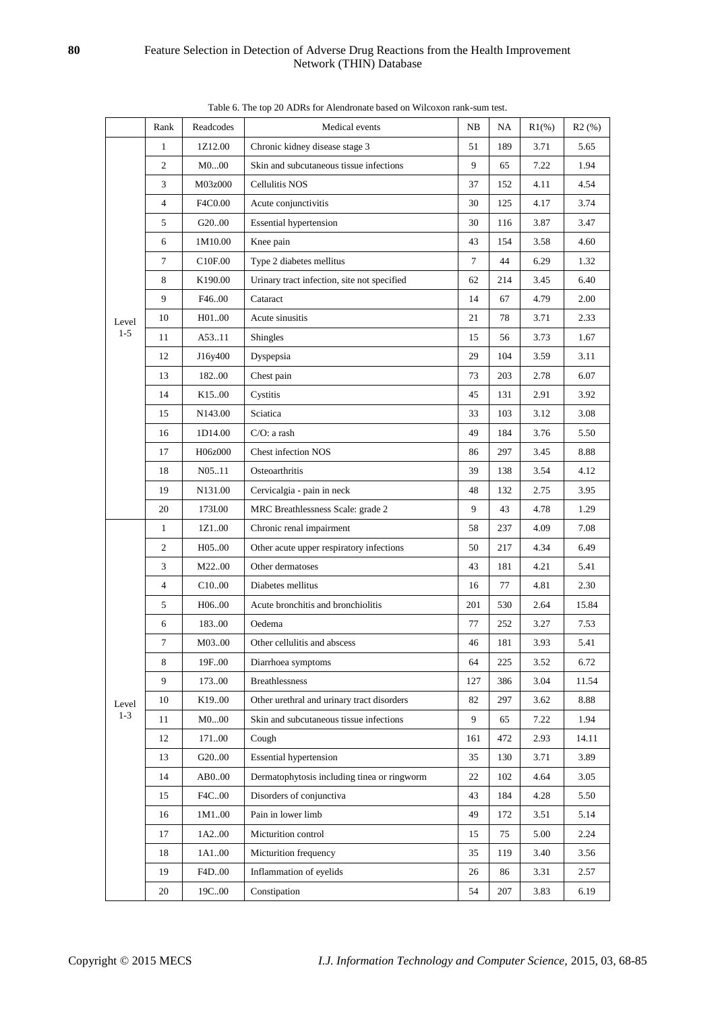|         | Rank           | Readcodes           | Medical events                              | NB     | NA  | $R1(\%)$ | R2(%) |
|---------|----------------|---------------------|---------------------------------------------|--------|-----|----------|-------|
|         | $\mathbf{1}$   | 1Z12.00             | Chronic kidney disease stage 3              | 51     | 189 | 3.71     | 5.65  |
|         | 2              | M000                | Skin and subcutaneous tissue infections     | 9      | 65  | 7.22     | 1.94  |
|         | 3              | M03z000             | <b>Cellulitis NOS</b>                       | 37     | 152 | 4.11     | 4.54  |
|         | $\overline{4}$ | F4C0.00             | Acute conjunctivitis                        | 30     | 125 | 4.17     | 3.74  |
|         | 5              | G <sub>20</sub> .00 | <b>Essential hypertension</b>               | 30     | 116 | 3.87     | 3.47  |
|         | 6              | 1M10.00             | Knee pain                                   | 43     | 154 | 3.58     | 4.60  |
|         | $\tau$         | C <sub>10F.00</sub> | Type 2 diabetes mellitus                    | $\tau$ | 44  | 6.29     | 1.32  |
|         | 8              | K190.00             | Urinary tract infection, site not specified | 62     | 214 | 3.45     | 6.40  |
|         | 9              | F46.00              | Cataract                                    | 14     | 67  | 4.79     | 2.00  |
| Level   | 10             | H01.00              | Acute sinusitis                             | 21     | 78  | 3.71     | 2.33  |
| $1 - 5$ | 11             | A53.11              | Shingles                                    | 15     | 56  | 3.73     | 1.67  |
|         | 12             | J16y400             | Dyspepsia                                   | 29     | 104 | 3.59     | 3.11  |
|         | 13             | 18200               | Chest pain                                  | 73     | 203 | 2.78     | 6.07  |
|         | 14             | K <sub>15</sub> .00 | Cystitis                                    | 45     | 131 | 2.91     | 3.92  |
|         | 15             | N143.00             | Sciatica                                    | 33     | 103 | 3.12     | 3.08  |
|         | 16             | 1D14.00             | $C/O: a$ rash                               | 49     | 184 | 3.76     | 5.50  |
|         | 17             | H06z000             | Chest infection NOS                         | 86     | 297 | 3.45     | 8.88  |
|         | 18             | N0511               | Osteoarthritis                              | 39     | 138 | 3.54     | 4.12  |
|         | 19             | N131.00             | Cervicalgia - pain in neck                  | 48     | 132 | 2.75     | 3.95  |
|         | 20             | 173I.00             | MRC Breathlessness Scale: grade 2           | 9      | 43  | 4.78     | 1.29  |
|         | $\mathbf{1}$   | 1Z100               | Chronic renal impairment                    | 58     | 237 | 4.09     | 7.08  |
|         | $\overline{c}$ | H05.00              | Other acute upper respiratory infections    | 50     | 217 | 4.34     | 6.49  |
|         | 3              | M2200               | Other dermatoses                            | 43     | 181 | 4.21     | 5.41  |
|         | $\overline{4}$ | C10.00              | Diabetes mellitus                           | 16     | 77  | 4.81     | 2.30  |
|         | 5              | H0600               | Acute bronchitis and bronchiolitis          | 201    | 530 | 2.64     | 15.84 |
|         | 6              | 183.00              | Oedema                                      | 77     | 252 | 3.27     | 7.53  |
|         | 7              | M0300               | Other cellulitis and abscess                | 46     | 181 | 3.93     | 5.41  |
|         | 8              | 19F.00              | Diarrhoea symptoms                          | 64     | 225 | 3.52     | 6.72  |
|         | 9              | 17300               | <b>Breathlessness</b>                       | 127    | 386 | 3.04     | 11.54 |
| Level   | 10             | K1900               | Other urethral and urinary tract disorders  | 82     | 297 | 3.62     | 8.88  |
| $1 - 3$ | 11             | M000                | Skin and subcutaneous tissue infections     | 9      | 65  | 7.22     | 1.94  |
|         | 12             | 17100               | Cough                                       | 161    | 472 | 2.93     | 14.11 |
|         | 13             | G2000               | <b>Essential hypertension</b>               | 35     | 130 | 3.71     | 3.89  |
|         | 14             | AB000               | Dermatophytosis including tinea or ringworm | 22     | 102 | 4.64     | 3.05  |
|         | 15             | F4C00               | Disorders of conjunctiva                    | 43     | 184 | 4.28     | 5.50  |
|         | 16             | 1M100               | Pain in lower limb                          | 49     | 172 | 3.51     | 5.14  |
|         | 17             | 1A200               | Micturition control                         | 15     | 75  | 5.00     | 2.24  |
|         | 18             | 1A100               | Micturition frequency                       | 35     | 119 | 3.40     | 3.56  |
|         | 19             | F4D.00              | Inflammation of eyelids                     | 26     | 86  | 3.31     | 2.57  |
|         | 20             | 19C00               | Constipation                                | 54     | 207 | 3.83     | 6.19  |

Table 6. The top 20 ADRs for Alendronate based on Wilcoxon rank-sum test.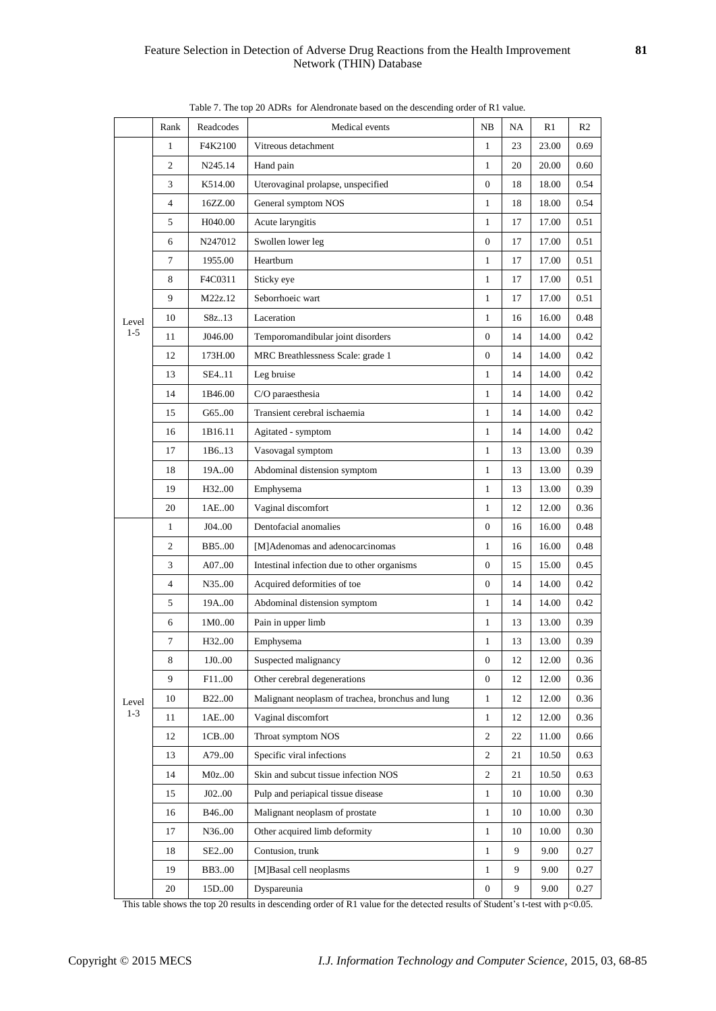|                  | Rank             | Readcodes         | Medical events                                   | NB               | NA | R1    | R <sub>2</sub> |
|------------------|------------------|-------------------|--------------------------------------------------|------------------|----|-------|----------------|
|                  | 1                | F4K2100           | Vitreous detachment                              | $\mathbf{1}$     | 23 | 23.00 | 0.69           |
|                  | 2                | N245.14           | Hand pain                                        | $\mathbf{1}$     | 20 | 20.00 | 0.60           |
|                  | 3                | K514.00           | Uterovaginal prolapse, unspecified               | $\boldsymbol{0}$ | 18 | 18.00 | 0.54           |
|                  | 4                | 16ZZ.00           | General symptom NOS                              | $\mathbf{1}$     | 18 | 18.00 | 0.54           |
|                  | 5                | H040.00           | Acute laryngitis                                 | $\mathbf{1}$     | 17 | 17.00 | 0.51           |
|                  | 6                | N247012           | Swollen lower leg                                | $\boldsymbol{0}$ | 17 | 17.00 | 0.51           |
|                  | $\tau$           | 1955.00           | Heartburn                                        | $\mathbf{1}$     | 17 | 17.00 | 0.51           |
|                  | 8                | F4C0311           | Sticky eye                                       | $\mathbf{1}$     | 17 | 17.00 | 0.51           |
| Level<br>$1 - 5$ | 9                | M22z.12           | Seborrhoeic wart                                 | $\mathbf{1}$     | 17 | 17.00 | 0.51           |
|                  | 10               | S8z13             | Laceration                                       | $\mathbf{1}$     | 16 | 16.00 | 0.48           |
|                  | 11               | J046.00           | Temporomandibular joint disorders                | 0                | 14 | 14.00 | 0.42           |
|                  | 12               | 173H.00           | MRC Breathlessness Scale: grade 1                | $\overline{0}$   | 14 | 14.00 | 0.42           |
|                  | 13               | SE411             | Leg bruise                                       | $\mathbf{1}$     | 14 | 14.00 | 0.42           |
|                  | 14               | 1B46.00           | C/O paraesthesia                                 | $\mathbf{1}$     | 14 | 14.00 | 0.42           |
|                  | 15               | G6500             | Transient cerebral ischaemia                     | $\mathbf{1}$     | 14 | 14.00 | 0.42           |
|                  | 16               | 1B16.11           | Agitated - symptom                               | $\mathbf{1}$     | 14 | 14.00 | 0.42           |
|                  | 17               | 1B6.13            | Vasovagal symptom                                | $\mathbf{1}$     | 13 | 13.00 | 0.39           |
|                  | 18               | 19A00             | Abdominal distension symptom                     | $\mathbf{1}$     | 13 | 13.00 | 0.39           |
|                  | 19               | H32.00            | Emphysema                                        | $\mathbf{1}$     | 13 | 13.00 | 0.39           |
|                  | 20               | 1AE.00            | Vaginal discomfort                               | $\mathbf{1}$     | 12 | 12.00 | 0.36           |
|                  | $\mathbf{1}$     | J04.00            | Dentofacial anomalies                            | $\mathbf{0}$     | 16 | 16.00 | 0.48           |
|                  | 2                | BB500             | [M]Adenomas and adenocarcinomas                  | $\mathbf{1}$     | 16 | 16.00 | 0.48           |
|                  | 3                | A0700             | Intestinal infection due to other organisms      | $\boldsymbol{0}$ | 15 | 15.00 | 0.45           |
|                  | 4                | N3500             | Acquired deformities of toe                      | $\boldsymbol{0}$ | 14 | 14.00 | 0.42           |
|                  | 5                | 19A00             | Abdominal distension symptom                     | $\mathbf{1}$     | 14 | 14.00 | 0.42           |
|                  | 6                | 1M0.00            | Pain in upper limb                               | $\mathbf{1}$     | 13 | 13.00 | 0.39           |
|                  | $\boldsymbol{7}$ | H3200             | Emphysema                                        | $\mathbf{1}$     | 13 | 13.00 | 0.39           |
|                  | 8                | $1\mathbf{J} 000$ | Suspected malignancy                             | $\boldsymbol{0}$ | 12 | 12.00 | 0.36           |
|                  | 9                | F11.00            | Other cerebral degenerations                     | $\boldsymbol{0}$ | 12 | 12.00 | 0.36           |
| Level            | 10               | <b>B22.00</b>     | Malignant neoplasm of trachea, bronchus and lung | $\mathbf{1}$     | 12 | 12.00 | 0.36           |
| $1 - 3$          | 11               | 1AE00             | Vaginal discomfort                               | $\mathbf{1}$     | 12 | 12.00 | 0.36           |
|                  | 12               | 1CB00             | Throat symptom NOS                               | $\overline{c}$   | 22 | 11.00 | 0.66           |
|                  | 13               | A7900             | Specific viral infections                        | $\mathbf{2}$     | 21 | 10.50 | 0.63           |
|                  | 14               | M0z.00            | Skin and subcut tissue infection NOS             | $\overline{c}$   | 21 | 10.50 | 0.63           |
|                  | 15               | J0200             | Pulp and periapical tissue disease               | $\mathbf{1}$     | 10 | 10.00 | 0.30           |
|                  | 16               | B4600             | Malignant neoplasm of prostate                   | $\mathbf{1}$     | 10 | 10.00 | 0.30           |
|                  | 17               | N3600             | Other acquired limb deformity                    | $\mathbf{1}$     | 10 | 10.00 | 0.30           |
|                  | 18               | SE200             | Contusion, trunk                                 | $\mathbf{1}$     | 9  | 9.00  | 0.27           |
|                  |                  |                   |                                                  |                  |    |       |                |
|                  | 19               | <b>BB300</b>      | [M]Basal cell neoplasms                          | 1                | 9  | 9.00  | 0.27           |
|                  | 20               | 15D.00            | Dyspareunia                                      | $\boldsymbol{0}$ | 9  | 9.00  | 0.27           |

Table 7. The top 20 ADRs for Alendronate based on the descending order of R1 value.

This table shows the top 20 results in descending order of R1 value for the detected results of Student's t-test with p<0.05.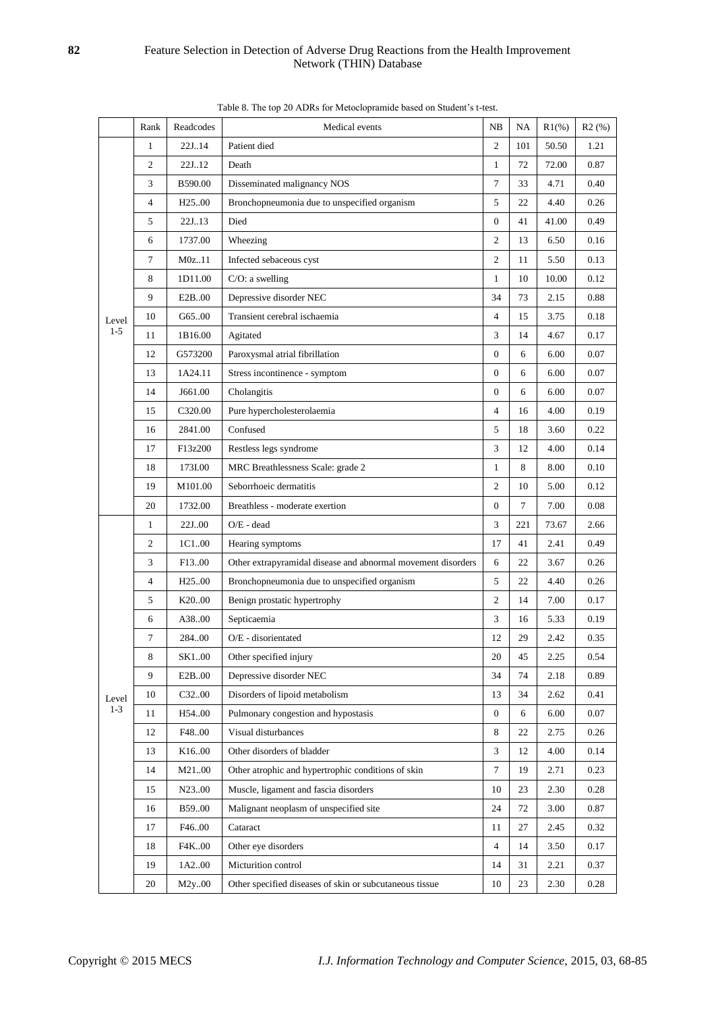|         | Rank           | Readcodes           | Medical events                                               | NB               | NA  | $R1(\%)$ | R2(%) |
|---------|----------------|---------------------|--------------------------------------------------------------|------------------|-----|----------|-------|
|         | $\mathbf{1}$   | 22J.14              | Patient died                                                 | $\overline{c}$   | 101 | 50.50    | 1.21  |
|         | $\overline{c}$ | 22J.12              | Death                                                        | $\mathbf{1}$     | 72  | 72.00    | 0.87  |
|         | 3              | B590.00             | Disseminated malignancy NOS                                  | $\overline{7}$   | 33  | 4.71     | 0.40  |
|         | $\overline{4}$ | H <sub>25</sub> .00 | Bronchopneumonia due to unspecified organism                 | 5                | 22  | 4.40     | 0.26  |
|         | 5              | 22J.13              | Died                                                         | $\overline{0}$   | 41  | 41.00    | 0.49  |
|         | 6              | 1737.00             | Wheezing                                                     | 2                | 13  | 6.50     | 0.16  |
|         | $\tau$         | M0z11               | Infected sebaceous cyst                                      | $\overline{c}$   | 11  | 5.50     | 0.13  |
|         | 8              | 1D11.00             | $C/O: a$ swelling                                            | $\mathbf{1}$     | 10  | 10.00    | 0.12  |
|         | 9              | E2B.00              | Depressive disorder NEC                                      | 34               | 73  | 2.15     | 0.88  |
| Level   | 10             | G65.00              | Transient cerebral ischaemia                                 | $\overline{4}$   | 15  | 3.75     | 0.18  |
| $1 - 5$ | 11             | 1B16.00             | Agitated                                                     | 3                | 14  | 4.67     | 0.17  |
|         | 12             | G573200             | Paroxysmal atrial fibrillation                               | $\mathbf{0}$     | 6   | 6.00     | 0.07  |
|         | 13             | 1A24.11             | Stress incontinence - symptom                                | $\overline{0}$   | 6   | 6.00     | 0.07  |
|         | 14             | J661.00             | Cholangitis                                                  | $\mathbf{0}$     | 6   | 6.00     | 0.07  |
|         | 15             | C320.00             | Pure hypercholesterolaemia                                   | $\overline{4}$   | 16  | 4.00     | 0.19  |
|         | 16             | 2841.00             | Confused                                                     | 5                | 18  | 3.60     | 0.22  |
|         | 17             | F13z200             | Restless legs syndrome                                       | 3                | 12  | 4.00     | 0.14  |
|         | 18             | 173I.00             | MRC Breathlessness Scale: grade 2                            | $\mathbf{1}$     | 8   | 8.00     | 0.10  |
|         | 19             | M101.00             | Seborrhoeic dermatitis                                       | $\overline{c}$   | 10  | 5.00     | 0.12  |
|         | 20             | 1732.00             | Breathless - moderate exertion                               | $\mathbf{0}$     | 7   | 7.00     | 0.08  |
|         | $\mathbf{1}$   | 22J00               | O/E - dead                                                   | 3                | 221 | 73.67    | 2.66  |
|         | 2              | 1C100               | Hearing symptoms                                             | 17               | 41  | 2.41     | 0.49  |
|         | 3              | F <sub>13.00</sub>  | Other extrapyramidal disease and abnormal movement disorders | 6                | 22  | 3.67     | 0.26  |
|         | $\overline{4}$ | H <sub>25</sub> .00 | Bronchopneumonia due to unspecified organism                 | 5                | 22  | 4.40     | 0.26  |
|         | 5              | K <sub>20.00</sub>  | Benign prostatic hypertrophy                                 | $\overline{c}$   | 14  | 7.00     | 0.17  |
|         | 6              | A38.00              | Septicaemia                                                  | 3                | 16  | 5.33     | 0.19  |
|         | $\tau$         | 284.00              | O/E - disorientated                                          | 12               | 29  | 2.42     | 0.35  |
|         | 8              | SK100               | Other specified injury                                       | 20               | 45  | 2.25     | 0.54  |
|         | 9              | E2B00               | Depressive disorder NEC                                      | 34               | 74  | 2.18     | 0.89  |
| Level   | 10             | C3200               | Disorders of lipoid metabolism                               | 13               | 34  | 2.62     | 0.41  |
| $1 - 3$ | 11             | H54.00              | Pulmonary congestion and hypostasis                          | $\boldsymbol{0}$ | 6   | 6.00     | 0.07  |
|         | 12             | F48.00              | Visual disturbances                                          | 8                | 22  | 2.75     | 0.26  |
|         | 13             | K16.00              | Other disorders of bladder                                   | 3                | 12  | 4.00     | 0.14  |
|         | 14             | M2100               | Other atrophic and hypertrophic conditions of skin           | 7                | 19  | 2.71     | 0.23  |
|         | 15             | N23.00              | Muscle, ligament and fascia disorders                        | 10               | 23  | 2.30     | 0.28  |
|         | 16             | B59.00              | Malignant neoplasm of unspecified site                       | 24               | 72  | 3.00     | 0.87  |
|         | 17             | F46.00              | Cataract                                                     | 11               | 27  | 2.45     | 0.32  |
|         | 18             | F4K00               | Other eye disorders                                          | $\overline{4}$   | 14  | 3.50     | 0.17  |
|         | 19             | 1A200               | Micturition control                                          | 14               | 31  | 2.21     | 0.37  |
|         | 20             | M2y.00              | Other specified diseases of skin or subcutaneous tissue      | 10               | 23  | 2.30     | 0.28  |

Table 8. The top 20 ADRs for Metoclopramide based on Student's t-test.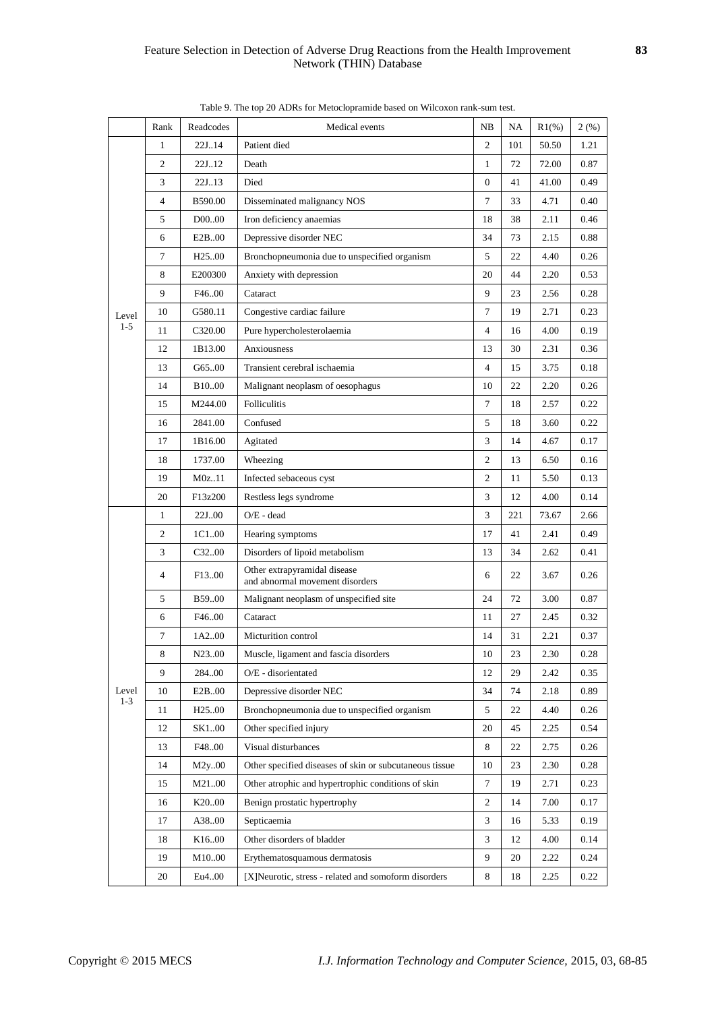|                  | Rank         | Readcodes           | Medical events                                                  | NB             | NA  | $R1\%$ ) | 2(%) |
|------------------|--------------|---------------------|-----------------------------------------------------------------|----------------|-----|----------|------|
|                  | $\mathbf{1}$ | 22J.14              | Patient died                                                    | $\overline{c}$ | 101 | 50.50    | 1.21 |
|                  | 2            | 22J.12              | Death                                                           | 1              | 72  | 72.00    | 0.87 |
|                  | 3            | 22J.13              | Died                                                            | $\overline{0}$ | 41  | 41.00    | 0.49 |
|                  | 4            | B590.00             | Disseminated malignancy NOS                                     | 7              | 33  | 4.71     | 0.40 |
|                  | 5            | D <sub>0</sub> 0.00 | Iron deficiency anaemias                                        | 18             | 38  | 2.11     | 0.46 |
|                  | 6            | E <sub>2</sub> B.00 | Depressive disorder NEC                                         | 34             | 73  | 2.15     | 0.88 |
|                  | $\tau$       | H <sub>25</sub> .00 | Bronchopneumonia due to unspecified organism                    | 5              | 22  | 4.40     | 0.26 |
|                  | 8            | E200300             | Anxiety with depression                                         | 20             | 44  | 2.20     | 0.53 |
| Level            | 9            | F46.00              | Cataract                                                        | 9              | 23  | 2.56     | 0.28 |
|                  | 10           | G580.11             | Congestive cardiac failure                                      | $\tau$         | 19  | 2.71     | 0.23 |
| $1 - 5$          | 11           | C320.00             | Pure hypercholesterolaemia                                      | $\overline{4}$ | 16  | 4.00     | 0.19 |
|                  | 12           | 1B13.00             | Anxiousness                                                     | 13             | 30  | 2.31     | 0.36 |
|                  | 13           | G6500               | Transient cerebral ischaemia                                    | 4              | 15  | 3.75     | 0.18 |
|                  | 14           | <b>B</b> 10.00      | Malignant neoplasm of oesophagus                                | 10             | 22  | 2.20     | 0.26 |
|                  | 15           | M244.00             | <b>Folliculitis</b>                                             | 7              | 18  | 2.57     | 0.22 |
|                  | 16           | 2841.00             | Confused                                                        | 5              | 18  | 3.60     | 0.22 |
|                  | 17           | 1B16.00             | Agitated                                                        | 3              | 14  | 4.67     | 0.17 |
|                  | 18           | 1737.00             | Wheezing                                                        | $\mathfrak{2}$ | 13  | 6.50     | 0.16 |
|                  | 19           | M0z.11              | Infected sebaceous cyst                                         | $\overline{c}$ | 11  | 5.50     | 0.13 |
|                  | 20           | F13z200             | Restless legs syndrome                                          | 3              | 12  | 4.00     | 0.14 |
|                  | $\mathbf{1}$ | 22J00               | $O/E - dead$                                                    | 3              | 221 | 73.67    | 2.66 |
|                  | 2            | 1C100               | Hearing symptoms                                                | 17             | 41  | 2.41     | 0.49 |
|                  | 3            | C <sub>32</sub> .00 | Disorders of lipoid metabolism                                  | 13             | 34  | 2.62     | 0.41 |
|                  | 4            | F <sub>13.00</sub>  | Other extrapyramidal disease<br>and abnormal movement disorders | 6              | 22  | 3.67     | 0.26 |
|                  | 5            | B59.00              | Malignant neoplasm of unspecified site                          | 24             | 72  | 3.00     | 0.87 |
|                  | 6            | F46.00              | Cataract                                                        | 11             | 27  | 2.45     | 0.32 |
|                  | $\tau$       | 1A200               | Micturition control                                             | 14             | 31  | 2.21     | 0.37 |
|                  | 8            | N2300               | Muscle, ligament and fascia disorders                           | 10             | 23  | 2.30     | 0.28 |
|                  | 9            | 28400               | O/E - disorientated                                             | 12             | 29  | 2.42     | 0.35 |
| Level<br>$1 - 3$ | 10           | E2B.00              | Depressive disorder NEC                                         | 34             | 74  | 2.18     | 0.89 |
|                  | 11           | H <sub>25</sub> .00 | Bronchopneumonia due to unspecified organism                    | 5              | 22  | 4.40     | 0.26 |
|                  | 12           | SK100               | Other specified injury                                          | 20             | 45  | 2.25     | 0.54 |
|                  | 13           | F48.00              | Visual disturbances                                             | 8              | 22  | 2.75     | 0.26 |
|                  | 14           | M2y.00              | Other specified diseases of skin or subcutaneous tissue         | 10             | 23  | 2.30     | 0.28 |
|                  | 15           | M2100               | Other atrophic and hypertrophic conditions of skin              | 7              | 19  | 2.71     | 0.23 |
|                  | 16           | K20.00              | Benign prostatic hypertrophy                                    | 2              | 14  | 7.00     | 0.17 |
|                  | 17           | A3800               | Septicaemia                                                     | 3              | 16  | 5.33     | 0.19 |
|                  | 18           | K16.00              | Other disorders of bladder                                      | 3              | 12  | 4.00     | 0.14 |
|                  | 19           | M1000               | Erythematosquamous dermatosis                                   | 9              | 20  | 2.22     | 0.24 |
|                  | 20           | Eu400               | [X]Neurotic, stress - related and somoform disorders            | 8              | 18  | 2.25     | 0.22 |

Table 9. The top 20 ADRs for Metoclopramide based on Wilcoxon rank-sum test.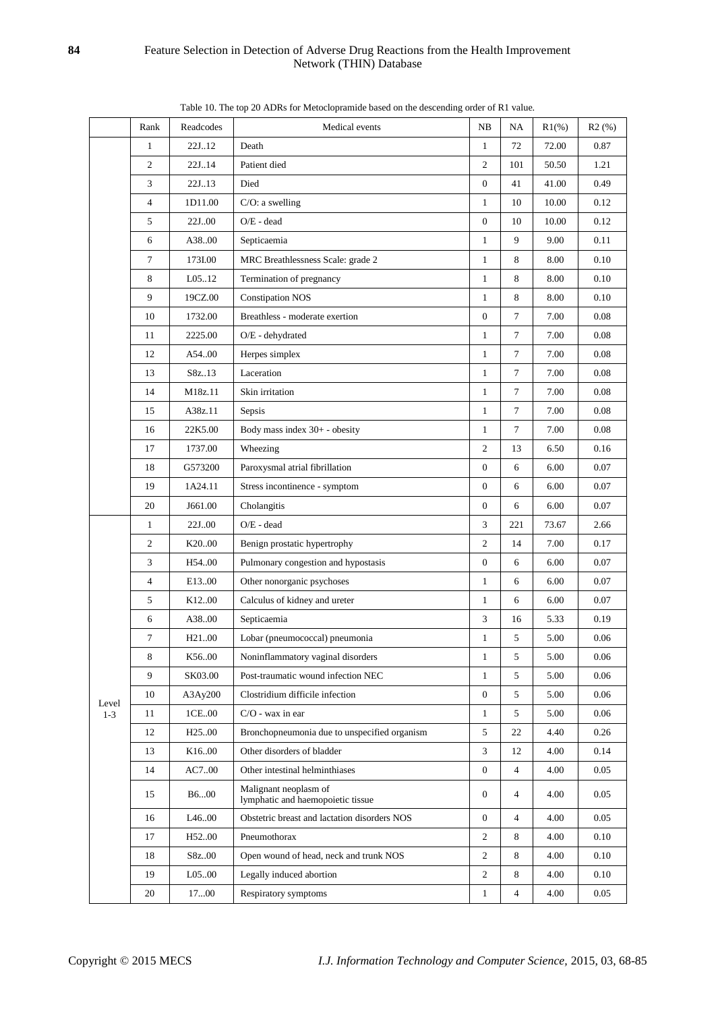|         | Rank           | Readcodes           | Medical events                                             | NB               | NA             | $R1(\%)$ | R2(%)    |
|---------|----------------|---------------------|------------------------------------------------------------|------------------|----------------|----------|----------|
|         | $\mathbf{1}$   | 22J.12              | Death                                                      | $\mathbf{1}$     | 72             | 72.00    | 0.87     |
|         | $\mathfrak{2}$ | 22J.14              | Patient died                                               | 2                | 101            | 50.50    | 1.21     |
|         | 3              | 22J.13              | Died                                                       | $\overline{0}$   | 41             | 41.00    | 0.49     |
|         | 4              | 1D11.00             | $C/O: a$ swelling                                          | $\mathbf{1}$     | 10             | 10.00    | 0.12     |
|         | 5              | 22J00               | $O/E - dead$                                               | $\boldsymbol{0}$ | 10             | 10.00    | 0.12     |
|         | 6              | A3800               | Septicaemia                                                | $\mathbf{1}$     | 9              | 9.00     | 0.11     |
|         | 7              | 173I.00             | MRC Breathlessness Scale: grade 2                          | $\mathbf{1}$     | $\,8\,$        | 8.00     | 0.10     |
|         | 8              | L05.12              | Termination of pregnancy                                   | $\mathbf{1}$     | 8              | 8.00     | 0.10     |
|         | 9              | 19CZ.00             | <b>Constipation NOS</b>                                    | $\mathbf{1}$     | 8              | 8.00     | 0.10     |
|         | 10             | 1732.00             | Breathless - moderate exertion                             | $\boldsymbol{0}$ | $\tau$         | 7.00     | 0.08     |
|         | 11             | 2225.00             | O/E - dehydrated                                           | $\mathbf{1}$     | $\tau$         | 7.00     | 0.08     |
|         | 12             | A54.00              | Herpes simplex                                             | $\mathbf{1}$     | $\tau$         | 7.00     | 0.08     |
|         | 13             | S8z13               | Laceration                                                 | $\mathbf{1}$     | $\overline{7}$ | 7.00     | 0.08     |
|         | 14             | M18z.11             | Skin irritation                                            | $\mathbf{1}$     | $\tau$         | 7.00     | $0.08\,$ |
|         | 15             | A38z.11             | Sepsis                                                     | $\mathbf{1}$     | $\tau$         | 7.00     | 0.08     |
|         | 16             | 22K5.00             | Body mass index 30+ - obesity                              | $\mathbf{1}$     | $\tau$         | 7.00     | 0.08     |
|         | 17             | 1737.00             | Wheezing                                                   | 2                | 13             | 6.50     | 0.16     |
|         | 18             | G573200             | Paroxysmal atrial fibrillation                             | $\boldsymbol{0}$ | 6              | 6.00     | 0.07     |
|         | 19             | 1A24.11             | Stress incontinence - symptom                              | $\overline{0}$   | 6              | 6.00     | 0.07     |
|         | 20             | J661.00             | Cholangitis                                                | $\boldsymbol{0}$ | 6              | 6.00     | 0.07     |
|         | $\mathbf{1}$   | 22J00               | $O/E - dead$                                               | 3                | 221            | 73.67    | 2.66     |
|         | $\overline{c}$ | K20.00              | Benign prostatic hypertrophy                               | $\overline{c}$   | 14             | 7.00     | 0.17     |
|         | 3              | H54.00              | Pulmonary congestion and hypostasis                        | $\boldsymbol{0}$ | 6              | 6.00     | 0.07     |
|         | 4              | E1300               | Other nonorganic psychoses                                 | $\mathbf{1}$     | 6              | 6.00     | 0.07     |
|         | 5              | K12.00              | Calculus of kidney and ureter                              | $\mathbf{1}$     | 6              | 6.00     | 0.07     |
|         | 6              | A38.00              | Septicaemia                                                | 3                | 16             | 5.33     | 0.19     |
|         | 7              | H <sub>21.00</sub>  | Lobar (pneumococcal) pneumonia                             | $\mathbf{1}$     | 5              | 5.00     | 0.06     |
|         | 8              | K5600               | Noninflammatory vaginal disorders                          | 1                | 5              | 5.00     | $0.06\,$ |
|         | 9              | SK03.00             | Post-traumatic wound infection NEC                         | $\mathbf{1}$     | 5              | 5.00     | 0.06     |
| Level   | 10             | A3Ay200             | Clostridium difficile infection                            | $\mathbf{0}$     | 5              | 5.00     | 0.06     |
| $1 - 3$ | 11             | 1CE.00              | $C/O$ - wax in ear                                         | $\mathbf{1}$     | 5              | 5.00     | 0.06     |
|         | 12             | H <sub>25</sub> .00 | Bronchopneumonia due to unspecified organism               | 5                | 22             | 4.40     | 0.26     |
|         | 13             | K1600               | Other disorders of bladder                                 | 3                | 12             | 4.00     | 0.14     |
|         | 14             | AC700               | Other intestinal helminthiases                             | 0                | 4              | 4.00     | 0.05     |
|         | 15             | B600                | Malignant neoplasm of<br>lymphatic and haemopoietic tissue | $\boldsymbol{0}$ | 4              | 4.00     | 0.05     |
|         | 16             | L <sub>46</sub> .00 | Obstetric breast and lactation disorders NOS               | $\boldsymbol{0}$ | $\overline{4}$ | 4.00     | 0.05     |
|         | 17             | H52.00              | Pneumothorax                                               | 2                | 8              | 4.00     | 0.10     |
|         | 18             | S8z00               | Open wound of head, neck and trunk NOS                     | 2                | 8              | 4.00     | 0.10     |
|         | 19             | L0500               | Legally induced abortion                                   | $\overline{c}$   | 8              | 4.00     | 0.10     |
|         | 20             | 1700                | Respiratory symptoms                                       | $\mathbf{1}$     | $\overline{4}$ | 4.00     | 0.05     |

Table 10. The top 20 ADRs for Metoclopramide based on the descending order of R1 value.